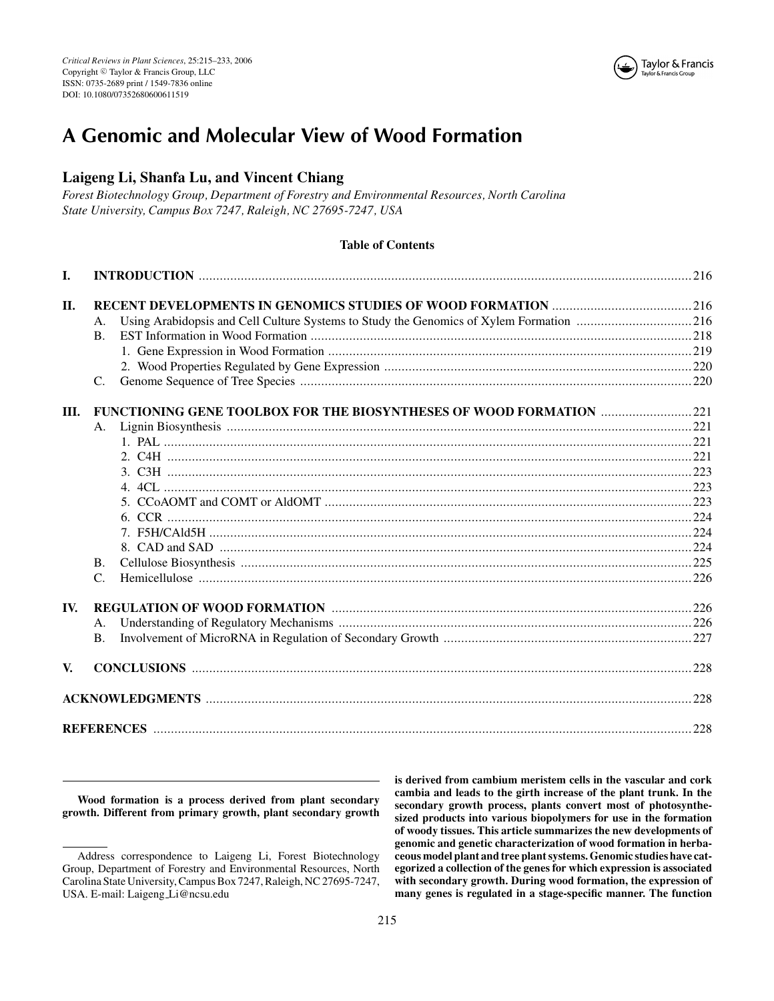

# **A Genomic and Molecular View of Wood Formation**

# **Laigeng Li, Shanfa Lu, and Vincent Chiang**

*Forest Biotechnology Group, Department of Forestry and Environmental Resources, North Carolina State University, Campus Box 7247, Raleigh, NC 27695-7247, USA*

# **Table of Contents**

| I.   |                                                                                               |  |
|------|-----------------------------------------------------------------------------------------------|--|
| II.  |                                                                                               |  |
|      | Using Arabidopsis and Cell Culture Systems to Study the Genomics of Xylem Formation 216<br>А. |  |
|      | <b>B.</b>                                                                                     |  |
|      |                                                                                               |  |
|      |                                                                                               |  |
|      | C.                                                                                            |  |
| III. |                                                                                               |  |
|      | A.                                                                                            |  |
|      |                                                                                               |  |
|      |                                                                                               |  |
|      |                                                                                               |  |
|      |                                                                                               |  |
|      |                                                                                               |  |
|      |                                                                                               |  |
|      |                                                                                               |  |
|      |                                                                                               |  |
|      | <b>B.</b>                                                                                     |  |
|      | $\mathcal{C}$ .                                                                               |  |
| IV.  |                                                                                               |  |
|      | А.                                                                                            |  |
|      | <b>B.</b>                                                                                     |  |
| V.   |                                                                                               |  |
|      |                                                                                               |  |
|      |                                                                                               |  |
|      |                                                                                               |  |

**Wood formation is a process derived from plant secondary growth. Different from primary growth, plant secondary growth** **is derived from cambium meristem cells in the vascular and cork cambia and leads to the girth increase of the plant trunk. In the secondary growth process, plants convert most of photosynthesized products into various biopolymers for use in the formation of woody tissues. This article summarizes the new developments of genomic and genetic characterization of wood formation in herbaceous model plant and tree plant systems. Genomic studies have categorized a collection of the genes for which expression is associated with secondary growth. During wood formation, the expression of many genes is regulated in a stage-specific manner. The function**

Address correspondence to Laigeng Li, Forest Biotechnology Group, Department of Forestry and Environmental Resources, North Carolina State University, Campus Box 7247, Raleigh, NC 27695-7247, USA. E-mail: Laigeng Li@ncsu.edu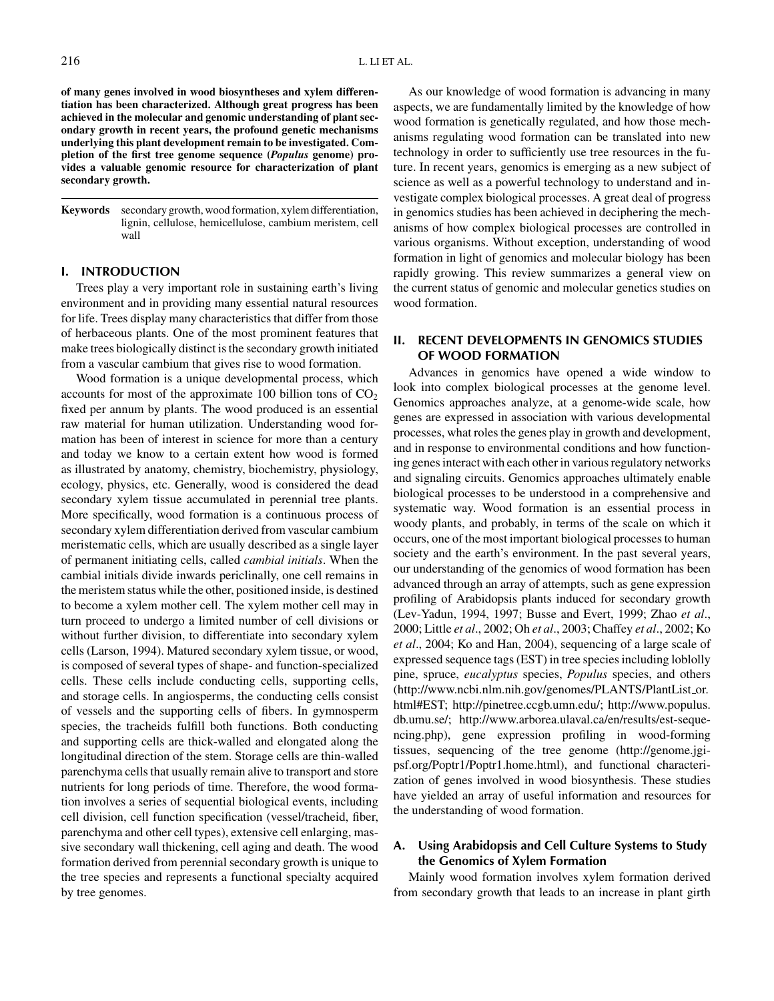**of many genes involved in wood biosyntheses and xylem differentiation has been characterized. Although great progress has been achieved in the molecular and genomic understanding of plant secondary growth in recent years, the profound genetic mechanisms underlying this plant development remain to be investigated. Completion of the first tree genome sequence (***Populus* **genome) provides a valuable genomic resource for characterization of plant secondary growth.**

**Keywords** secondary growth, wood formation, xylem differentiation, lignin, cellulose, hemicellulose, cambium meristem, cell wall

# **I. INTRODUCTION**

Trees play a very important role in sustaining earth's living environment and in providing many essential natural resources for life. Trees display many characteristics that differ from those of herbaceous plants. One of the most prominent features that make trees biologically distinct is the secondary growth initiated from a vascular cambium that gives rise to wood formation.

Wood formation is a unique developmental process, which accounts for most of the approximate 100 billion tons of  $CO<sub>2</sub>$ fixed per annum by plants. The wood produced is an essential raw material for human utilization. Understanding wood formation has been of interest in science for more than a century and today we know to a certain extent how wood is formed as illustrated by anatomy, chemistry, biochemistry, physiology, ecology, physics, etc. Generally, wood is considered the dead secondary xylem tissue accumulated in perennial tree plants. More specifically, wood formation is a continuous process of secondary xylem differentiation derived from vascular cambium meristematic cells, which are usually described as a single layer of permanent initiating cells, called *cambial initials*. When the cambial initials divide inwards periclinally, one cell remains in the meristem status while the other, positioned inside, is destined to become a xylem mother cell. The xylem mother cell may in turn proceed to undergo a limited number of cell divisions or without further division, to differentiate into secondary xylem cells (Larson, 1994). Matured secondary xylem tissue, or wood, is composed of several types of shape- and function-specialized cells. These cells include conducting cells, supporting cells, and storage cells. In angiosperms, the conducting cells consist of vessels and the supporting cells of fibers. In gymnosperm species, the tracheids fulfill both functions. Both conducting and supporting cells are thick-walled and elongated along the longitudinal direction of the stem. Storage cells are thin-walled parenchyma cells that usually remain alive to transport and store nutrients for long periods of time. Therefore, the wood formation involves a series of sequential biological events, including cell division, cell function specification (vessel/tracheid, fiber, parenchyma and other cell types), extensive cell enlarging, massive secondary wall thickening, cell aging and death. The wood formation derived from perennial secondary growth is unique to the tree species and represents a functional specialty acquired by tree genomes.

As our knowledge of wood formation is advancing in many aspects, we are fundamentally limited by the knowledge of how wood formation is genetically regulated, and how those mechanisms regulating wood formation can be translated into new technology in order to sufficiently use tree resources in the future. In recent years, genomics is emerging as a new subject of science as well as a powerful technology to understand and investigate complex biological processes. A great deal of progress in genomics studies has been achieved in deciphering the mechanisms of how complex biological processes are controlled in various organisms. Without exception, understanding of wood formation in light of genomics and molecular biology has been rapidly growing. This review summarizes a general view on the current status of genomic and molecular genetics studies on wood formation.

# **II. RECENT DEVELOPMENTS IN GENOMICS STUDIES OF WOOD FORMATION**

Advances in genomics have opened a wide window to look into complex biological processes at the genome level. Genomics approaches analyze, at a genome-wide scale, how genes are expressed in association with various developmental processes, what roles the genes play in growth and development, and in response to environmental conditions and how functioning genes interact with each other in various regulatory networks and signaling circuits. Genomics approaches ultimately enable biological processes to be understood in a comprehensive and systematic way. Wood formation is an essential process in woody plants, and probably, in terms of the scale on which it occurs, one of the most important biological processes to human society and the earth's environment. In the past several years, our understanding of the genomics of wood formation has been advanced through an array of attempts, such as gene expression profiling of Arabidopsis plants induced for secondary growth (Lev-Yadun, 1994, 1997; Busse and Evert, 1999; Zhao *et al*., 2000; Little *et al*., 2002; Oh *et al*., 2003; Chaffey *et al*., 2002; Ko *et al*., 2004; Ko and Han, 2004), sequencing of a large scale of expressed sequence tags (EST) in tree species including loblolly pine, spruce, *eucalyptus* species, *Populus* species, and others (http://www.ncbi.nlm.nih.gov/genomes/PLANTS/PlantList or. html#EST; http://pinetree.ccgb.umn.edu/; http://www.populus. db.umu.se/; http://www.arborea.ulaval.ca/en/results/est-sequencing.php), gene expression profiling in wood-forming tissues, sequencing of the tree genome (http://genome.jgipsf.org/Poptr1/Poptr1.home.html), and functional characterization of genes involved in wood biosynthesis. These studies have yielded an array of useful information and resources for the understanding of wood formation.

# **A. Using Arabidopsis and Cell Culture Systems to Study the Genomics of Xylem Formation**

Mainly wood formation involves xylem formation derived from secondary growth that leads to an increase in plant girth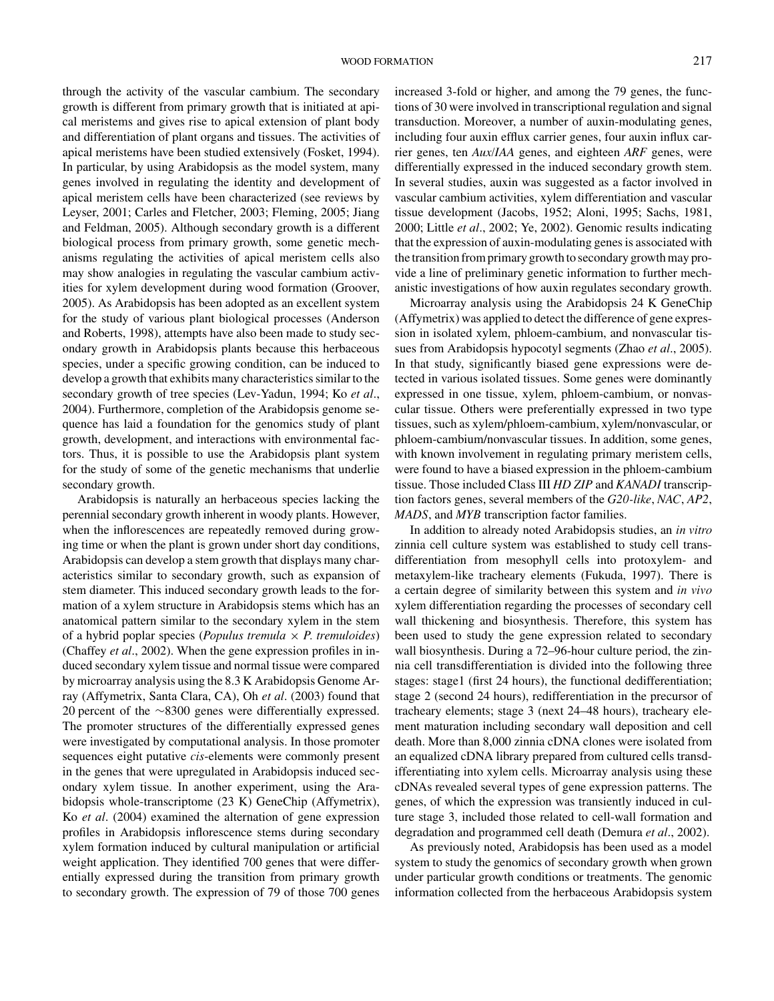through the activity of the vascular cambium. The secondary growth is different from primary growth that is initiated at apical meristems and gives rise to apical extension of plant body and differentiation of plant organs and tissues. The activities of apical meristems have been studied extensively (Fosket, 1994). In particular, by using Arabidopsis as the model system, many genes involved in regulating the identity and development of apical meristem cells have been characterized (see reviews by Leyser, 2001; Carles and Fletcher, 2003; Fleming, 2005; Jiang and Feldman, 2005). Although secondary growth is a different biological process from primary growth, some genetic mechanisms regulating the activities of apical meristem cells also may show analogies in regulating the vascular cambium activities for xylem development during wood formation (Groover, 2005). As Arabidopsis has been adopted as an excellent system for the study of various plant biological processes (Anderson and Roberts, 1998), attempts have also been made to study secondary growth in Arabidopsis plants because this herbaceous species, under a specific growing condition, can be induced to develop a growth that exhibits many characteristics similar to the secondary growth of tree species (Lev-Yadun, 1994; Ko *et al*., 2004). Furthermore, completion of the Arabidopsis genome sequence has laid a foundation for the genomics study of plant growth, development, and interactions with environmental factors. Thus, it is possible to use the Arabidopsis plant system for the study of some of the genetic mechanisms that underlie secondary growth.

Arabidopsis is naturally an herbaceous species lacking the perennial secondary growth inherent in woody plants. However, when the inflorescences are repeatedly removed during growing time or when the plant is grown under short day conditions, Arabidopsis can develop a stem growth that displays many characteristics similar to secondary growth, such as expansion of stem diameter. This induced secondary growth leads to the formation of a xylem structure in Arabidopsis stems which has an anatomical pattern similar to the secondary xylem in the stem of a hybrid poplar species (*Populus tremula* × *P. tremuloides*) (Chaffey *et al*., 2002). When the gene expression profiles in induced secondary xylem tissue and normal tissue were compared by microarray analysis using the 8.3 K Arabidopsis Genome Array (Affymetrix, Santa Clara, CA), Oh *et al*. (2003) found that 20 percent of the ∼8300 genes were differentially expressed. The promoter structures of the differentially expressed genes were investigated by computational analysis. In those promoter sequences eight putative *cis*-elements were commonly present in the genes that were upregulated in Arabidopsis induced secondary xylem tissue. In another experiment, using the Arabidopsis whole-transcriptome (23 K) GeneChip (Affymetrix), Ko *et al*. (2004) examined the alternation of gene expression profiles in Arabidopsis inflorescence stems during secondary xylem formation induced by cultural manipulation or artificial weight application. They identified 700 genes that were differentially expressed during the transition from primary growth to secondary growth. The expression of 79 of those 700 genes

increased 3-fold or higher, and among the 79 genes, the functions of 30 were involved in transcriptional regulation and signal transduction. Moreover, a number of auxin-modulating genes, including four auxin efflux carrier genes, four auxin influx carrier genes, ten *Aux/IAA* genes, and eighteen *ARF* genes, were differentially expressed in the induced secondary growth stem. In several studies, auxin was suggested as a factor involved in vascular cambium activities, xylem differentiation and vascular tissue development (Jacobs, 1952; Aloni, 1995; Sachs, 1981, 2000; Little *et al*., 2002; Ye, 2002). Genomic results indicating that the expression of auxin-modulating genes is associated with the transition from primary growth to secondary growth may provide a line of preliminary genetic information to further mechanistic investigations of how auxin regulates secondary growth.

Microarray analysis using the Arabidopsis 24 K GeneChip (Affymetrix) was applied to detect the difference of gene expression in isolated xylem, phloem-cambium, and nonvascular tissues from Arabidopsis hypocotyl segments (Zhao *et al*., 2005). In that study, significantly biased gene expressions were detected in various isolated tissues. Some genes were dominantly expressed in one tissue, xylem, phloem-cambium, or nonvascular tissue. Others were preferentially expressed in two type tissues, such as xylem/phloem-cambium, xylem/nonvascular, or phloem-cambium/nonvascular tissues. In addition, some genes, with known involvement in regulating primary meristem cells, were found to have a biased expression in the phloem-cambium tissue. Those included Class III *HD ZIP* and *KANADI* transcription factors genes, several members of the *G20-like*, *NAC*, *AP2*, *MADS*, and *MYB* transcription factor families.

In addition to already noted Arabidopsis studies, an *in vitro* zinnia cell culture system was established to study cell transdifferentiation from mesophyll cells into protoxylem- and metaxylem-like tracheary elements (Fukuda, 1997). There is a certain degree of similarity between this system and *in vivo* xylem differentiation regarding the processes of secondary cell wall thickening and biosynthesis. Therefore, this system has been used to study the gene expression related to secondary wall biosynthesis. During a 72–96-hour culture period, the zinnia cell transdifferentiation is divided into the following three stages: stage1 (first 24 hours), the functional dedifferentiation; stage 2 (second 24 hours), redifferentiation in the precursor of tracheary elements; stage 3 (next 24–48 hours), tracheary element maturation including secondary wall deposition and cell death. More than 8,000 zinnia cDNA clones were isolated from an equalized cDNA library prepared from cultured cells transdifferentiating into xylem cells. Microarray analysis using these cDNAs revealed several types of gene expression patterns. The genes, of which the expression was transiently induced in culture stage 3, included those related to cell-wall formation and degradation and programmed cell death (Demura *et al*., 2002).

As previously noted, Arabidopsis has been used as a model system to study the genomics of secondary growth when grown under particular growth conditions or treatments. The genomic information collected from the herbaceous Arabidopsis system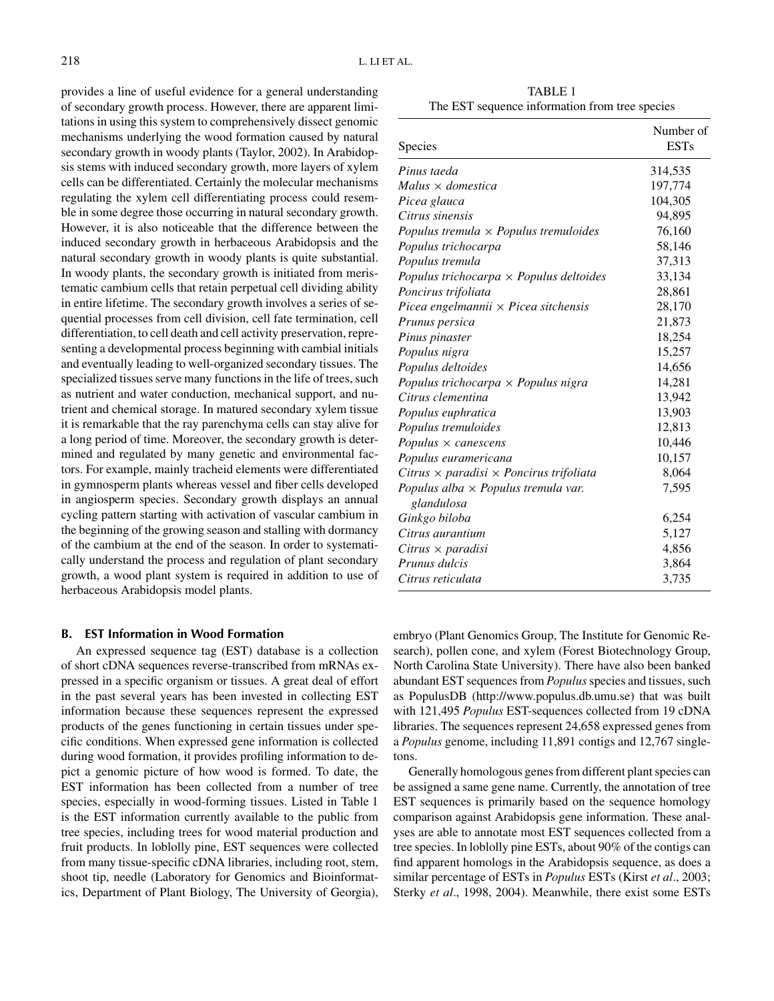provides a line of useful evidence for a general understanding of secondary growth process. However, there are apparent limitations in using this system to comprehensively dissect genomic mechanisms underlying the wood formation caused by natural secondary growth in woody plants (Taylor, 2002). In Arabidopsis stems with induced secondary growth, more layers of xylem cells can be differentiated. Certainly the molecular mechanisms regulating the xylem cell differentiating process could resemble in some degree those occurring in natural secondary growth. However, it is also noticeable that the difference between the induced secondary growth in herbaceous Arabidopsis and the natural secondary growth in woody plants is quite substantial. In woody plants, the secondary growth is initiated from meristematic cambium cells that retain perpetual cell dividing ability in entire lifetime. The secondary growth involves a series of sequential processes from cell division, cell fate termination, cell differentiation, to cell death and cell activity preservation, representing a developmental process beginning with cambial initials and eventually leading to well-organized secondary tissues. The specialized tissues serve many functions in the life of trees, such as nutrient and water conduction, mechanical support, and nutrient and chemical storage. In matured secondary xylem tissue it is remarkable that the ray parenchyma cells can stay alive for a long period of time. Moreover, the secondary growth is determined and regulated by many genetic and environmental factors. For example, mainly tracheid elements were differentiated in gymnosperm plants whereas vessel and fiber cells developed in angiosperm species. Secondary growth displays an annual cycling pattern starting with activation of vascular cambium in the beginning of the growing season and stalling with dormancy of the cambium at the end of the season. In order to systematically understand the process and regulation of plant secondary growth, a wood plant system is required in addition to use of herbaceous Arabidopsis model plants.

#### **B. EST Information in Wood Formation**

An expressed sequence tag (EST) database is a collection of short cDNA sequences reverse-transcribed from mRNAs expressed in a specific organism or tissues. A great deal of effort in the past several years has been invested in collecting EST information because these sequences represent the expressed products of the genes functioning in certain tissues under specific conditions. When expressed gene information is collected during wood formation, it provides profiling information to depict a genomic picture of how wood is formed. To date, the EST information has been collected from a number of tree species, especially in wood-forming tissues. Listed in Table 1 is the EST information currently available to the public from tree species, including trees for wood material production and fruit products. In loblolly pine, EST sequences were collected from many tissue-specific cDNA libraries, including root, stem, shoot tip, needle (Laboratory for Genomics and Bioinformatics, Department of Plant Biology, The University of Georgia),

TABLE 1 The EST sequence information from tree species

| Species                                               | Number of<br><b>ESTs</b> |
|-------------------------------------------------------|--------------------------|
| Pinus taeda                                           | 314,535                  |
| Malus $\times$ domestica                              | 197,774                  |
| Picea glauca                                          | 104,305                  |
| Citrus sinensis                                       | 94,895                   |
| Populus tremula $\times$ Populus tremuloides          | 76,160                   |
| Populus trichocarpa                                   | 58,146                   |
| Populus tremula                                       | 37,313                   |
| Populus trichocarpa $\times$ Populus deltoides        | 33,134                   |
| Poncirus trifoliata                                   | 28,861                   |
| Picea engelmannii $\times$ Picea sitchensis           | 28,170                   |
| Prunus persica                                        | 21,873                   |
| Pinus pinaster                                        | 18,254                   |
| Populus nigra                                         | 15,257                   |
| Populus deltoides                                     | 14,656                   |
| Populus trichocarpa $\times$ Populus nigra            | 14,281                   |
| Citrus clementina                                     | 13,942                   |
| Populus euphratica                                    | 13,903                   |
| Populus tremuloides                                   | 12,813                   |
| Populus $\times$ canescens                            | 10,446                   |
| Populus euramericana                                  | 10,157                   |
| Citrus $\times$ paradisi $\times$ Poncirus trifoliata | 8,064                    |
| Populus alba $\times$ Populus tremula var.            | 7,595                    |
| glandulosa                                            |                          |
| Ginkgo biloba                                         | 6,254                    |
| Citrus aurantium                                      | 5,127                    |
| $Citrus \times paradisi$                              | 4,856                    |
| Prunus dulcis                                         | 3,864                    |
| Citrus reticulata                                     | 3,735                    |

embryo (Plant Genomics Group, The Institute for Genomic Research), pollen cone, and xylem (Forest Biotechnology Group, North Carolina State University). There have also been banked abundant EST sequences from *Populus* species and tissues, such as PopulusDB (http://www.populus.db.umu.se) that was built with 121,495 *Populus* EST-sequences collected from 19 cDNA libraries. The sequences represent 24,658 expressed genes from a *Populus* genome, including 11,891 contigs and 12,767 singletons.

Generally homologous genes from different plant species can be assigned a same gene name. Currently, the annotation of tree EST sequences is primarily based on the sequence homology comparison against Arabidopsis gene information. These analyses are able to annotate most EST sequences collected from a tree species. In loblolly pine ESTs, about 90% of the contigs can find apparent homologs in the Arabidopsis sequence, as does a similar percentage of ESTs in *Populus* ESTs (Kirst *et al*., 2003; Sterky *et al*., 1998, 2004). Meanwhile, there exist some ESTs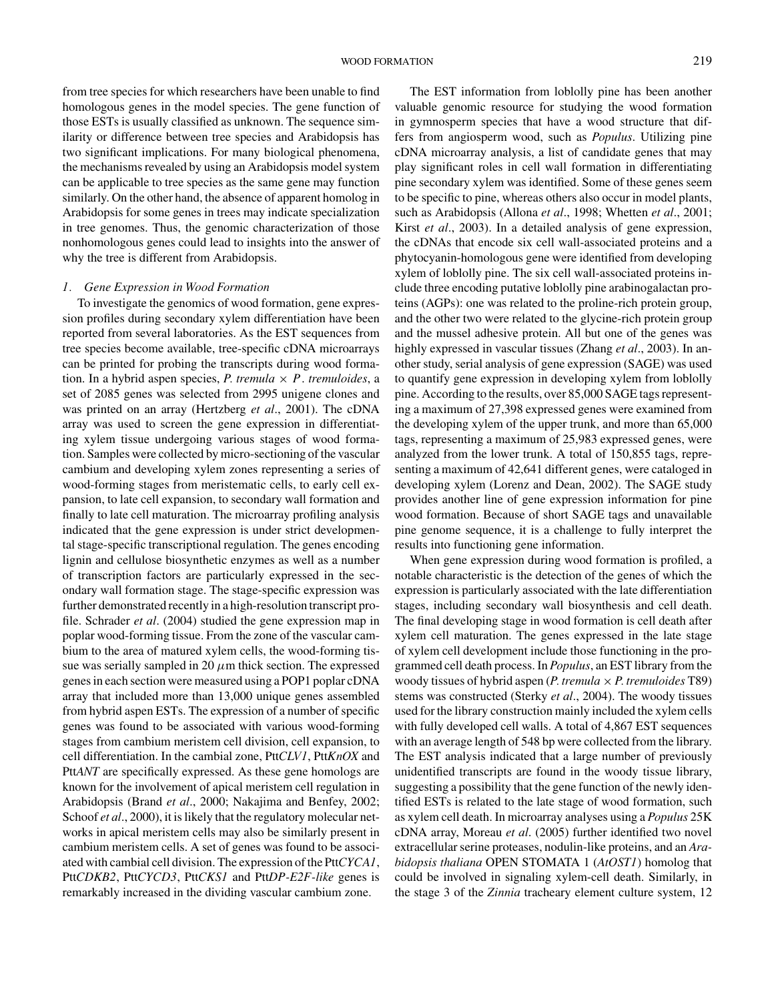from tree species for which researchers have been unable to find homologous genes in the model species. The gene function of those ESTs is usually classified as unknown. The sequence similarity or difference between tree species and Arabidopsis has two significant implications. For many biological phenomena, the mechanisms revealed by using an Arabidopsis model system can be applicable to tree species as the same gene may function similarly. On the other hand, the absence of apparent homolog in Arabidopsis for some genes in trees may indicate specialization in tree genomes. Thus, the genomic characterization of those nonhomologous genes could lead to insights into the answer of why the tree is different from Arabidopsis.

#### *1. Gene Expression in Wood Formation*

To investigate the genomics of wood formation, gene expression profiles during secondary xylem differentiation have been reported from several laboratories. As the EST sequences from tree species become available, tree-specific cDNA microarrays can be printed for probing the transcripts during wood formation. In a hybrid aspen species, *P. tremula*  $\times$  *P. tremuloides*, a set of 2085 genes was selected from 2995 unigene clones and was printed on an array (Hertzberg *et al*., 2001). The cDNA array was used to screen the gene expression in differentiating xylem tissue undergoing various stages of wood formation. Samples were collected by micro-sectioning of the vascular cambium and developing xylem zones representing a series of wood-forming stages from meristematic cells, to early cell expansion, to late cell expansion, to secondary wall formation and finally to late cell maturation. The microarray profiling analysis indicated that the gene expression is under strict developmental stage-specific transcriptional regulation. The genes encoding lignin and cellulose biosynthetic enzymes as well as a number of transcription factors are particularly expressed in the secondary wall formation stage. The stage-specific expression was further demonstrated recently in a high-resolution transcript profile. Schrader *et al*. (2004) studied the gene expression map in poplar wood-forming tissue. From the zone of the vascular cambium to the area of matured xylem cells, the wood-forming tissue was serially sampled in 20  $\mu$ m thick section. The expressed genes in each section were measured using a POP1 poplar cDNA array that included more than 13,000 unique genes assembled from hybrid aspen ESTs. The expression of a number of specific genes was found to be associated with various wood-forming stages from cambium meristem cell division, cell expansion, to cell differentiation. In the cambial zone, Ptt*CLV1*, Ptt*KnOX* and Ptt*ANT* are specifically expressed. As these gene homologs are known for the involvement of apical meristem cell regulation in Arabidopsis (Brand *et al*., 2000; Nakajima and Benfey, 2002; Schoof *et al*., 2000), it is likely that the regulatory molecular networks in apical meristem cells may also be similarly present in cambium meristem cells. A set of genes was found to be associated with cambial cell division. The expression of the Ptt*CYCA1*, Ptt*CDKB2*, Ptt*CYCD3*, Ptt*CKS1* and Ptt*DP-E2F-like* genes is remarkably increased in the dividing vascular cambium zone.

The EST information from loblolly pine has been another valuable genomic resource for studying the wood formation in gymnosperm species that have a wood structure that differs from angiosperm wood, such as *Populus*. Utilizing pine cDNA microarray analysis, a list of candidate genes that may play significant roles in cell wall formation in differentiating pine secondary xylem was identified. Some of these genes seem to be specific to pine, whereas others also occur in model plants, such as Arabidopsis (Allona *et al*., 1998; Whetten *et al*., 2001; Kirst *et al*., 2003). In a detailed analysis of gene expression, the cDNAs that encode six cell wall-associated proteins and a phytocyanin-homologous gene were identified from developing xylem of loblolly pine. The six cell wall-associated proteins include three encoding putative loblolly pine arabinogalactan proteins (AGPs): one was related to the proline-rich protein group, and the other two were related to the glycine-rich protein group and the mussel adhesive protein. All but one of the genes was highly expressed in vascular tissues (Zhang *et al*., 2003). In another study, serial analysis of gene expression (SAGE) was used to quantify gene expression in developing xylem from loblolly pine. According to the results, over 85,000 SAGE tags representing a maximum of 27,398 expressed genes were examined from the developing xylem of the upper trunk, and more than 65,000 tags, representing a maximum of 25,983 expressed genes, were analyzed from the lower trunk. A total of 150,855 tags, representing a maximum of 42,641 different genes, were cataloged in developing xylem (Lorenz and Dean, 2002). The SAGE study provides another line of gene expression information for pine wood formation. Because of short SAGE tags and unavailable pine genome sequence, it is a challenge to fully interpret the results into functioning gene information.

When gene expression during wood formation is profiled, a notable characteristic is the detection of the genes of which the expression is particularly associated with the late differentiation stages, including secondary wall biosynthesis and cell death. The final developing stage in wood formation is cell death after xylem cell maturation. The genes expressed in the late stage of xylem cell development include those functioning in the programmed cell death process. In *Populus*, an EST library from the woody tissues of hybrid aspen (*P. tremula* × *P. tremuloides* T89) stems was constructed (Sterky *et al*., 2004). The woody tissues used for the library construction mainly included the xylem cells with fully developed cell walls. A total of 4,867 EST sequences with an average length of 548 bp were collected from the library. The EST analysis indicated that a large number of previously unidentified transcripts are found in the woody tissue library, suggesting a possibility that the gene function of the newly identified ESTs is related to the late stage of wood formation, such as xylem cell death. In microarray analyses using a *Populus* 25K cDNA array, Moreau *et al*. (2005) further identified two novel extracellular serine proteases, nodulin-like proteins, and an *Arabidopsis thaliana* OPEN STOMATA 1 (*AtOST1*) homolog that could be involved in signaling xylem-cell death. Similarly, in the stage 3 of the *Zinnia* tracheary element culture system, 12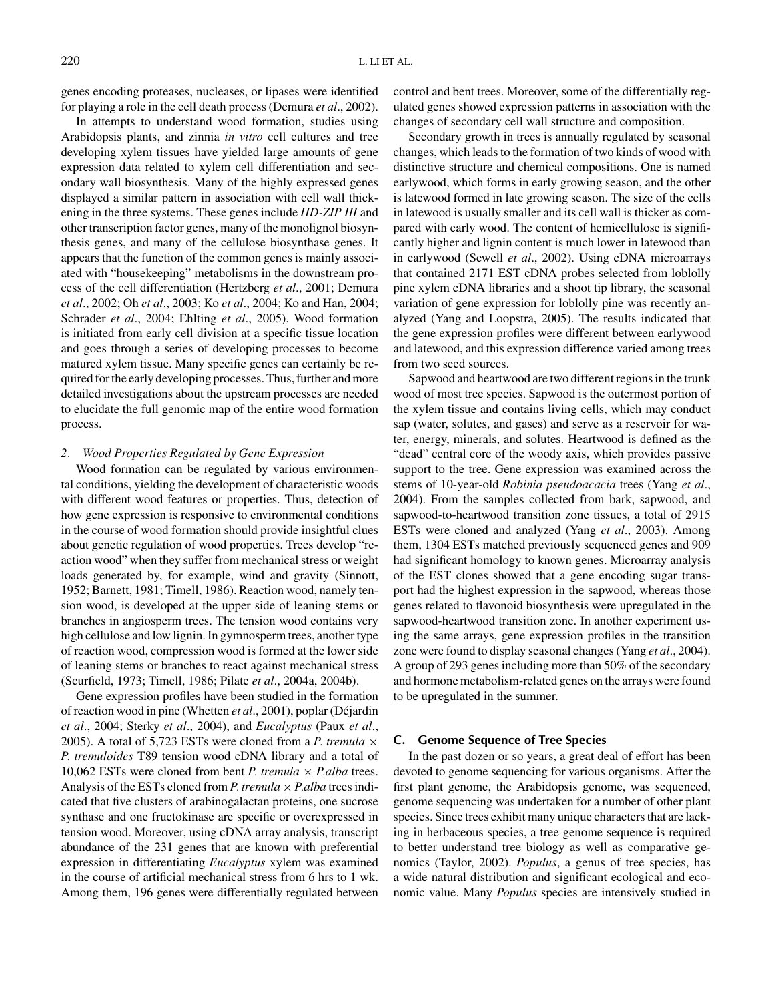genes encoding proteases, nucleases, or lipases were identified for playing a role in the cell death process (Demura *et al*., 2002).

In attempts to understand wood formation, studies using Arabidopsis plants, and zinnia *in vitro* cell cultures and tree developing xylem tissues have yielded large amounts of gene expression data related to xylem cell differentiation and secondary wall biosynthesis. Many of the highly expressed genes displayed a similar pattern in association with cell wall thickening in the three systems. These genes include *HD-ZIP III* and other transcription factor genes, many of the monolignol biosynthesis genes, and many of the cellulose biosynthase genes. It appears that the function of the common genes is mainly associated with "housekeeping" metabolisms in the downstream process of the cell differentiation (Hertzberg *et al*., 2001; Demura *et al*., 2002; Oh *et al*., 2003; Ko *et al*., 2004; Ko and Han, 2004; Schrader *et al*., 2004; Ehlting *et al*., 2005). Wood formation is initiated from early cell division at a specific tissue location and goes through a series of developing processes to become matured xylem tissue. Many specific genes can certainly be required for the early developing processes. Thus, further and more detailed investigations about the upstream processes are needed to elucidate the full genomic map of the entire wood formation process.

## *2. Wood Properties Regulated by Gene Expression*

Wood formation can be regulated by various environmental conditions, yielding the development of characteristic woods with different wood features or properties. Thus, detection of how gene expression is responsive to environmental conditions in the course of wood formation should provide insightful clues about genetic regulation of wood properties. Trees develop "reaction wood" when they suffer from mechanical stress or weight loads generated by, for example, wind and gravity (Sinnott, 1952; Barnett, 1981; Timell, 1986). Reaction wood, namely tension wood, is developed at the upper side of leaning stems or branches in angiosperm trees. The tension wood contains very high cellulose and low lignin. In gymnosperm trees, another type of reaction wood, compression wood is formed at the lower side of leaning stems or branches to react against mechanical stress (Scurfield, 1973; Timell, 1986; Pilate *et al*., 2004a, 2004b).

Gene expression profiles have been studied in the formation of reaction wood in pine (Whetten *et al.*, 2001), poplar (Déjardin *et al*., 2004; Sterky *et al*., 2004), and *Eucalyptus* (Paux *et al*., 2005). A total of 5,723 ESTs were cloned from a *P. tremula*  $\times$ *P. tremuloides* T89 tension wood cDNA library and a total of 10,062 ESTs were cloned from bent *P. tremula* × *P.alba* trees. Analysis of the ESTs cloned from *P. tremula* × *P.alba* trees indicated that five clusters of arabinogalactan proteins, one sucrose synthase and one fructokinase are specific or overexpressed in tension wood. Moreover, using cDNA array analysis, transcript abundance of the 231 genes that are known with preferential expression in differentiating *Eucalyptus* xylem was examined in the course of artificial mechanical stress from 6 hrs to 1 wk. Among them, 196 genes were differentially regulated between control and bent trees. Moreover, some of the differentially regulated genes showed expression patterns in association with the changes of secondary cell wall structure and composition.

Secondary growth in trees is annually regulated by seasonal changes, which leads to the formation of two kinds of wood with distinctive structure and chemical compositions. One is named earlywood, which forms in early growing season, and the other is latewood formed in late growing season. The size of the cells in latewood is usually smaller and its cell wall is thicker as compared with early wood. The content of hemicellulose is significantly higher and lignin content is much lower in latewood than in earlywood (Sewell *et al*., 2002). Using cDNA microarrays that contained 2171 EST cDNA probes selected from loblolly pine xylem cDNA libraries and a shoot tip library, the seasonal variation of gene expression for loblolly pine was recently analyzed (Yang and Loopstra, 2005). The results indicated that the gene expression profiles were different between earlywood and latewood, and this expression difference varied among trees from two seed sources.

Sapwood and heartwood are two different regions in the trunk wood of most tree species. Sapwood is the outermost portion of the xylem tissue and contains living cells, which may conduct sap (water, solutes, and gases) and serve as a reservoir for water, energy, minerals, and solutes. Heartwood is defined as the "dead" central core of the woody axis, which provides passive support to the tree. Gene expression was examined across the stems of 10-year-old *Robinia pseudoacacia* trees (Yang *et al*., 2004). From the samples collected from bark, sapwood, and sapwood-to-heartwood transition zone tissues, a total of 2915 ESTs were cloned and analyzed (Yang *et al*., 2003). Among them, 1304 ESTs matched previously sequenced genes and 909 had significant homology to known genes. Microarray analysis of the EST clones showed that a gene encoding sugar transport had the highest expression in the sapwood, whereas those genes related to flavonoid biosynthesis were upregulated in the sapwood-heartwood transition zone. In another experiment using the same arrays, gene expression profiles in the transition zone were found to display seasonal changes (Yang *et al*., 2004). A group of 293 genes including more than 50% of the secondary and hormone metabolism-related genes on the arrays were found to be upregulated in the summer.

#### **C. Genome Sequence of Tree Species**

In the past dozen or so years, a great deal of effort has been devoted to genome sequencing for various organisms. After the first plant genome, the Arabidopsis genome, was sequenced, genome sequencing was undertaken for a number of other plant species. Since trees exhibit many unique characters that are lacking in herbaceous species, a tree genome sequence is required to better understand tree biology as well as comparative genomics (Taylor, 2002). *Populus*, a genus of tree species, has a wide natural distribution and significant ecological and economic value. Many *Populus* species are intensively studied in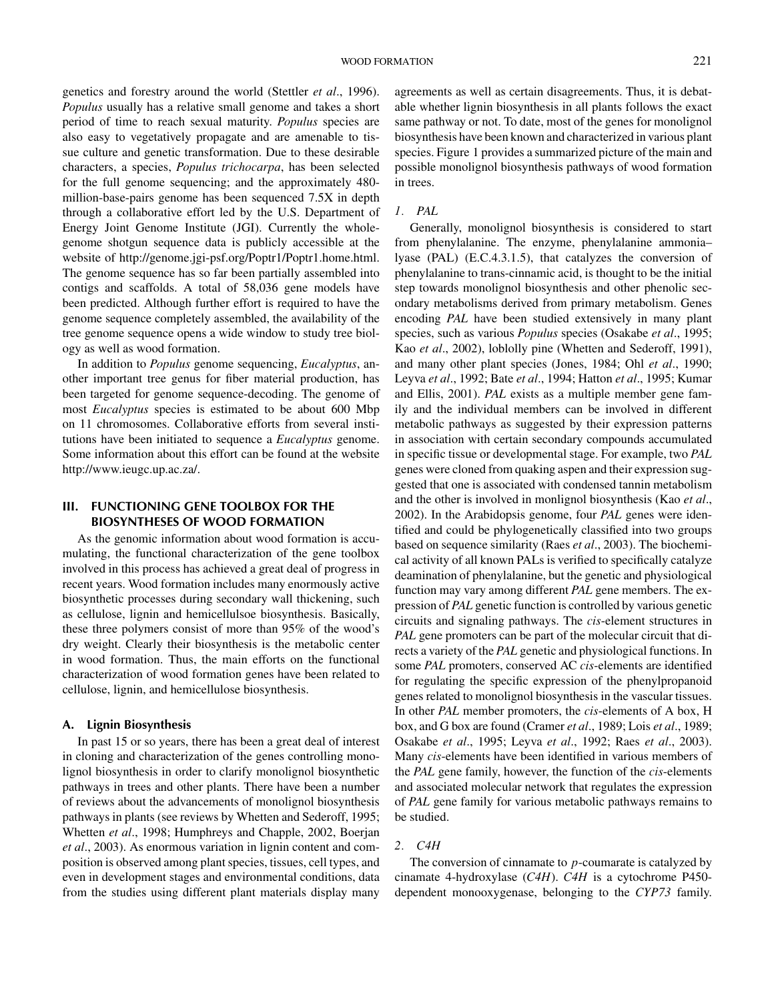genetics and forestry around the world (Stettler *et al*., 1996). *Populus* usually has a relative small genome and takes a short period of time to reach sexual maturity. *Populus* species are also easy to vegetatively propagate and are amenable to tissue culture and genetic transformation. Due to these desirable characters, a species, *Populus trichocarpa*, has been selected for the full genome sequencing; and the approximately 480 million-base-pairs genome has been sequenced 7.5X in depth through a collaborative effort led by the U.S. Department of Energy Joint Genome Institute (JGI). Currently the wholegenome shotgun sequence data is publicly accessible at the website of http://genome.jgi-psf.org/Poptr1/Poptr1.home.html. The genome sequence has so far been partially assembled into contigs and scaffolds. A total of 58,036 gene models have been predicted. Although further effort is required to have the genome sequence completely assembled, the availability of the tree genome sequence opens a wide window to study tree biology as well as wood formation.

In addition to *Populus* genome sequencing, *Eucalyptus*, another important tree genus for fiber material production, has been targeted for genome sequence-decoding. The genome of most *Eucalyptus* species is estimated to be about 600 Mbp on 11 chromosomes. Collaborative efforts from several institutions have been initiated to sequence a *Eucalyptus* genome. Some information about this effort can be found at the website http://www.ieugc.up.ac.za/.

# **III. FUNCTIONING GENE TOOLBOX FOR THE BIOSYNTHESES OF WOOD FORMATION**

As the genomic information about wood formation is accumulating, the functional characterization of the gene toolbox involved in this process has achieved a great deal of progress in recent years. Wood formation includes many enormously active biosynthetic processes during secondary wall thickening, such as cellulose, lignin and hemicellulsoe biosynthesis. Basically, these three polymers consist of more than 95% of the wood's dry weight. Clearly their biosynthesis is the metabolic center in wood formation. Thus, the main efforts on the functional characterization of wood formation genes have been related to cellulose, lignin, and hemicellulose biosynthesis.

#### **A. Lignin Biosynthesis**

In past 15 or so years, there has been a great deal of interest in cloning and characterization of the genes controlling monolignol biosynthesis in order to clarify monolignol biosynthetic pathways in trees and other plants. There have been a number of reviews about the advancements of monolignol biosynthesis pathways in plants (see reviews by Whetten and Sederoff, 1995; Whetten *et al*., 1998; Humphreys and Chapple, 2002, Boerjan *et al*., 2003). As enormous variation in lignin content and composition is observed among plant species, tissues, cell types, and even in development stages and environmental conditions, data from the studies using different plant materials display many

agreements as well as certain disagreements. Thus, it is debatable whether lignin biosynthesis in all plants follows the exact same pathway or not. To date, most of the genes for monolignol biosynthesis have been known and characterized in various plant species. Figure 1 provides a summarized picture of the main and possible monolignol biosynthesis pathways of wood formation in trees.

## *1. PAL*

Generally, monolignol biosynthesis is considered to start from phenylalanine. The enzyme, phenylalanine ammonia– lyase (PAL) (E.C.4.3.1.5), that catalyzes the conversion of phenylalanine to trans-cinnamic acid, is thought to be the initial step towards monolignol biosynthesis and other phenolic secondary metabolisms derived from primary metabolism. Genes encoding *PAL* have been studied extensively in many plant species, such as various *Populus* species (Osakabe *et al*., 1995; Kao *et al*., 2002), loblolly pine (Whetten and Sederoff, 1991), and many other plant species (Jones, 1984; Ohl *et al*., 1990; Leyva *et al*., 1992; Bate *et al*., 1994; Hatton *et al*., 1995; Kumar and Ellis, 2001). *PAL* exists as a multiple member gene family and the individual members can be involved in different metabolic pathways as suggested by their expression patterns in association with certain secondary compounds accumulated in specific tissue or developmental stage. For example, two *PAL* genes were cloned from quaking aspen and their expression suggested that one is associated with condensed tannin metabolism and the other is involved in monlignol biosynthesis (Kao *et al*., 2002). In the Arabidopsis genome, four *PAL* genes were identified and could be phylogenetically classified into two groups based on sequence similarity (Raes *et al*., 2003). The biochemical activity of all known PALs is verified to specifically catalyze deamination of phenylalanine, but the genetic and physiological function may vary among different *PAL* gene members. The expression of *PAL* genetic function is controlled by various genetic circuits and signaling pathways. The *cis*-element structures in *PAL* gene promoters can be part of the molecular circuit that directs a variety of the *PAL* genetic and physiological functions. In some *PAL* promoters, conserved AC *cis*-elements are identified for regulating the specific expression of the phenylpropanoid genes related to monolignol biosynthesis in the vascular tissues. In other *PAL* member promoters, the *cis*-elements of A box, H box, and G box are found (Cramer *et al*., 1989; Lois *et al*., 1989; Osakabe *et al*., 1995; Leyva *et al*., 1992; Raes *et al*., 2003). Many *cis*-elements have been identified in various members of the *PAL* gene family, however, the function of the *cis*-elements and associated molecular network that regulates the expression of *PAL* gene family for various metabolic pathways remains to be studied.

## *2. C4H*

The conversion of cinnamate to *p*-coumarate is catalyzed by cinamate 4-hydroxylase (*C4H*). *C4H* is a cytochrome P450 dependent monooxygenase, belonging to the *CYP73* family.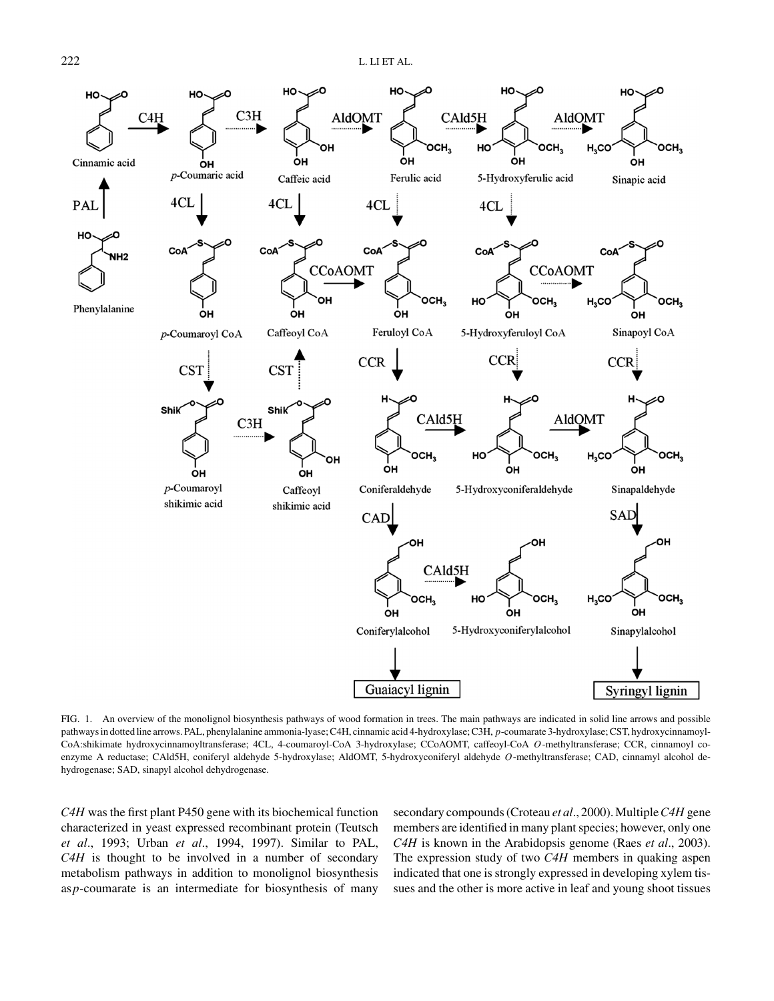

FIG. 1. An overview of the monolignol biosynthesis pathways of wood formation in trees. The main pathways are indicated in solid line arrows and possible pathways in dotted line arrows. PAL, phenylalanine ammonia-lyase; C4H, cinnamic acid 4-hydroxylase; C3H, *p*-coumarate 3-hydroxylase; CST, hydroxycinnamoyl-CoA:shikimate hydroxycinnamoyltransferase; 4CL, 4-coumaroyl-CoA 3-hydroxylase; CCoAOMT, caffeoyl-CoA *O*-methyltransferase; CCR, cinnamoyl coenzyme A reductase; CAld5H, coniferyl aldehyde 5-hydroxylase; AldOMT, 5-hydroxyconiferyl aldehyde *O*-methyltransferase; CAD, cinnamyl alcohol dehydrogenase; SAD, sinapyl alcohol dehydrogenase.

*C4H* was the first plant P450 gene with its biochemical function characterized in yeast expressed recombinant protein (Teutsch *et al*., 1993; Urban *et al*., 1994, 1997). Similar to PAL, *C4H* is thought to be involved in a number of secondary metabolism pathways in addition to monolignol biosynthesis as*p*-coumarate is an intermediate for biosynthesis of many

secondary compounds (Croteau *et al*., 2000). Multiple*C4H* gene members are identified in many plant species; however, only one *C4H* is known in the Arabidopsis genome (Raes *et al*., 2003). The expression study of two *C4H* members in quaking aspen indicated that one is strongly expressed in developing xylem tissues and the other is more active in leaf and young shoot tissues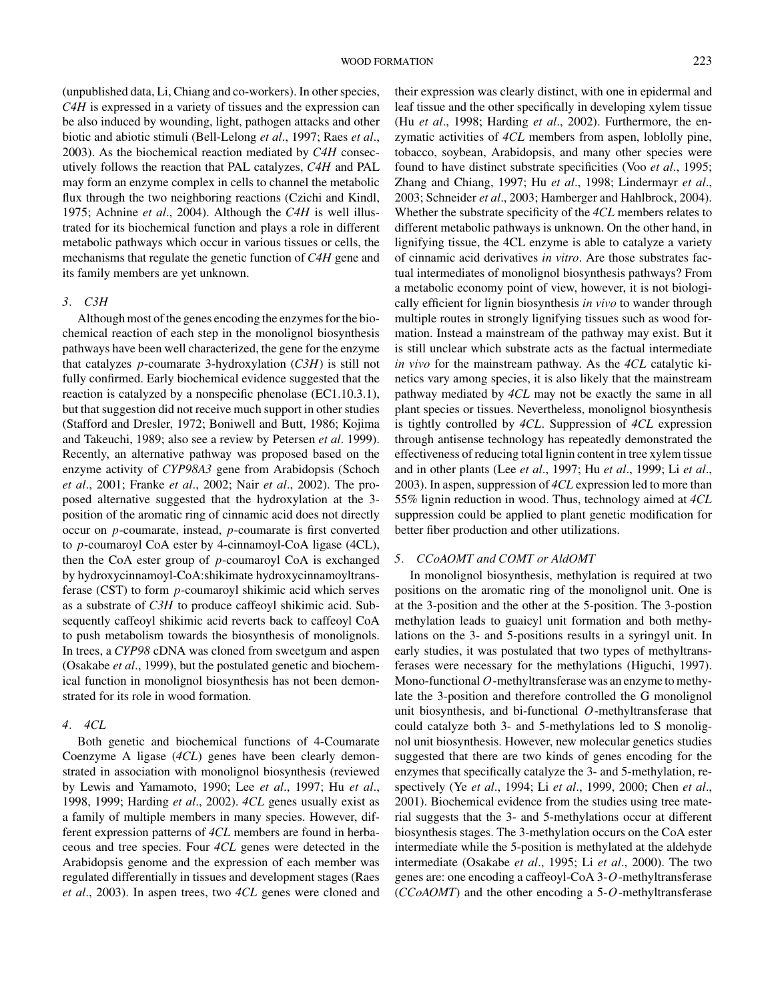(unpublished data, Li, Chiang and co-workers). In other species, *C4H* is expressed in a variety of tissues and the expression can be also induced by wounding, light, pathogen attacks and other biotic and abiotic stimuli (Bell-Lelong *et al*., 1997; Raes *et al*., 2003). As the biochemical reaction mediated by *C4H* consecutively follows the reaction that PAL catalyzes, *C4H* and PAL may form an enzyme complex in cells to channel the metabolic flux through the two neighboring reactions (Czichi and Kindl, 1975; Achnine *et al*., 2004). Although the *C4H* is well illustrated for its biochemical function and plays a role in different metabolic pathways which occur in various tissues or cells, the mechanisms that regulate the genetic function of *C4H* gene and its family members are yet unknown.

#### *3. C3H*

Although most of the genes encoding the enzymes for the biochemical reaction of each step in the monolignol biosynthesis pathways have been well characterized, the gene for the enzyme that catalyzes *p*-coumarate 3-hydroxylation (*C3H*) is still not fully confirmed. Early biochemical evidence suggested that the reaction is catalyzed by a nonspecific phenolase (EC1.10.3.1), but that suggestion did not receive much support in other studies (Stafford and Dresler, 1972; Boniwell and Butt, 1986; Kojima and Takeuchi, 1989; also see a review by Petersen *et al*. 1999). Recently, an alternative pathway was proposed based on the enzyme activity of *CYP98A3* gene from Arabidopsis (Schoch *et al*., 2001; Franke *et al*., 2002; Nair *et al*., 2002). The proposed alternative suggested that the hydroxylation at the 3 position of the aromatic ring of cinnamic acid does not directly occur on *p*-coumarate, instead, *p*-coumarate is first converted to *p*-coumaroyl CoA ester by 4-cinnamoyl-CoA ligase (4CL), then the CoA ester group of *p*-coumaroyl CoA is exchanged by hydroxycinnamoyl-CoA:shikimate hydroxycinnamoyltransferase (CST) to form *p*-coumaroyl shikimic acid which serves as a substrate of *C3H* to produce caffeoyl shikimic acid. Subsequently caffeoyl shikimic acid reverts back to caffeoyl CoA to push metabolism towards the biosynthesis of monolignols. In trees, a *CYP98* cDNA was cloned from sweetgum and aspen (Osakabe *et al*., 1999), but the postulated genetic and biochemical function in monolignol biosynthesis has not been demonstrated for its role in wood formation.

## *4. 4CL*

Both genetic and biochemical functions of 4-Coumarate Coenzyme A ligase (*4CL*) genes have been clearly demonstrated in association with monolignol biosynthesis (reviewed by Lewis and Yamamoto, 1990; Lee *et al*., 1997; Hu *et al*., 1998, 1999; Harding *et al*., 2002). *4CL* genes usually exist as a family of multiple members in many species. However, different expression patterns of *4CL* members are found in herbaceous and tree species. Four *4CL* genes were detected in the Arabidopsis genome and the expression of each member was regulated differentially in tissues and development stages (Raes *et al*., 2003). In aspen trees, two *4CL* genes were cloned and

their expression was clearly distinct, with one in epidermal and leaf tissue and the other specifically in developing xylem tissue (Hu *et al*., 1998; Harding *et al*., 2002). Furthermore, the enzymatic activities of *4CL* members from aspen, loblolly pine, tobacco, soybean, Arabidopsis, and many other species were found to have distinct substrate specificities (Voo *et al*., 1995; Zhang and Chiang, 1997; Hu *et al*., 1998; Lindermayr *et al*., 2003; Schneider *et al*., 2003; Hamberger and Hahlbrock, 2004). Whether the substrate specificity of the *4CL* members relates to different metabolic pathways is unknown. On the other hand, in lignifying tissue, the 4CL enzyme is able to catalyze a variety of cinnamic acid derivatives *in vitro*. Are those substrates factual intermediates of monolignol biosynthesis pathways? From a metabolic economy point of view, however, it is not biologically efficient for lignin biosynthesis *in vivo* to wander through multiple routes in strongly lignifying tissues such as wood formation. Instead a mainstream of the pathway may exist. But it is still unclear which substrate acts as the factual intermediate *in vivo* for the mainstream pathway. As the *4CL* catalytic kinetics vary among species, it is also likely that the mainstream pathway mediated by *4CL* may not be exactly the same in all plant species or tissues. Nevertheless, monolignol biosynthesis is tightly controlled by *4CL*. Suppression of *4CL* expression through antisense technology has repeatedly demonstrated the effectiveness of reducing total lignin content in tree xylem tissue and in other plants (Lee *et al*., 1997; Hu *et al*., 1999; Li *et al*., 2003). In aspen, suppression of *4CL* expression led to more than 55% lignin reduction in wood. Thus, technology aimed at *4CL* suppression could be applied to plant genetic modification for better fiber production and other utilizations.

#### *5. CCoAOMT and COMT or AldOMT*

In monolignol biosynthesis, methylation is required at two positions on the aromatic ring of the monolignol unit. One is at the 3-position and the other at the 5-position. The 3-postion methylation leads to guaicyl unit formation and both methylations on the 3- and 5-positions results in a syringyl unit. In early studies, it was postulated that two types of methyltransferases were necessary for the methylations (Higuchi, 1997). Mono-functional *O*-methyltransferase was an enzyme to methylate the 3-position and therefore controlled the G monolignol unit biosynthesis, and bi-functional *O*-methyltransferase that could catalyze both 3- and 5-methylations led to S monolignol unit biosynthesis. However, new molecular genetics studies suggested that there are two kinds of genes encoding for the enzymes that specifically catalyze the 3- and 5-methylation, respectively (Ye *et al*., 1994; Li *et al*., 1999, 2000; Chen *et al*., 2001). Biochemical evidence from the studies using tree material suggests that the 3- and 5-methylations occur at different biosynthesis stages. The 3-methylation occurs on the CoA ester intermediate while the 5-position is methylated at the aldehyde intermediate (Osakabe *et al*., 1995; Li *et al*., 2000). The two genes are: one encoding a caffeoyl-CoA 3-*O*-methyltransferase (*CCoAOMT*) and the other encoding a 5-*O*-methyltransferase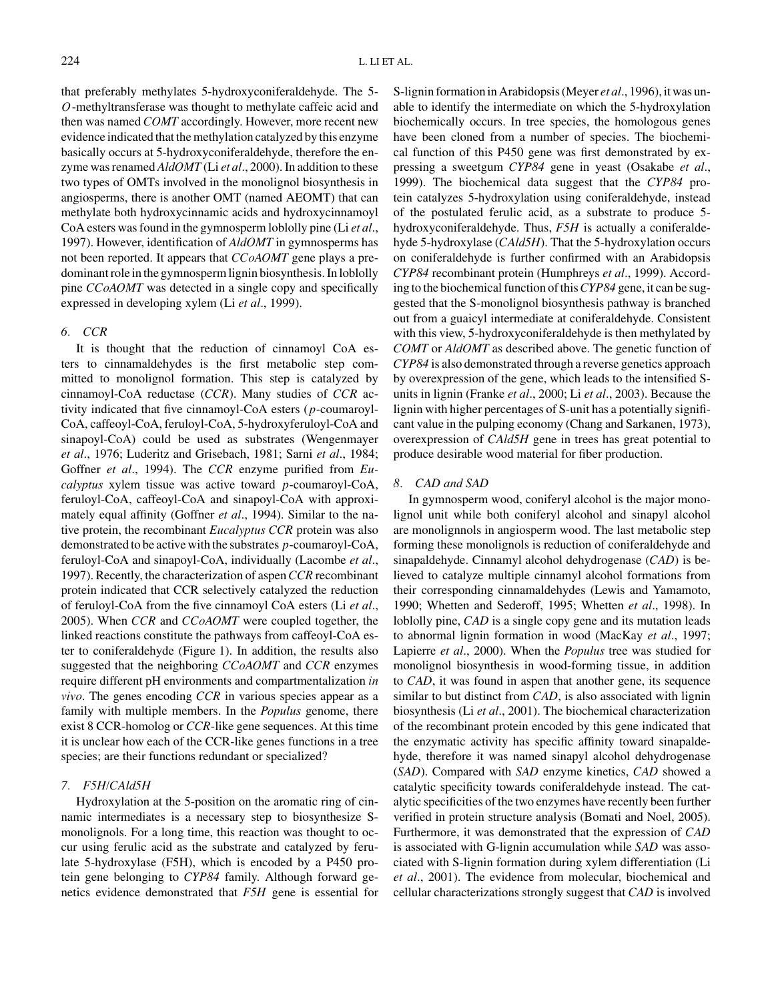that preferably methylates 5-hydroxyconiferaldehyde. The 5- *O*-methyltransferase was thought to methylate caffeic acid and then was named *COMT* accordingly. However, more recent new evidence indicated that the methylation catalyzed by this enzyme basically occurs at 5-hydroxyconiferaldehyde, therefore the enzyme was renamed *AldOMT* (Li *et al*., 2000). In addition to these two types of OMTs involved in the monolignol biosynthesis in angiosperms, there is another OMT (named AEOMT) that can methylate both hydroxycinnamic acids and hydroxycinnamoyl CoA esters was found in the gymnosperm loblolly pine (Li *et al*., 1997). However, identification of *AldOMT* in gymnosperms has not been reported. It appears that *CCoAOMT* gene plays a predominant role in the gymnosperm lignin biosynthesis. In loblolly pine *CCoAOMT* was detected in a single copy and specifically expressed in developing xylem (Li *et al*., 1999).

## *6. CCR*

It is thought that the reduction of cinnamoyl CoA esters to cinnamaldehydes is the first metabolic step committed to monolignol formation. This step is catalyzed by cinnamoyl-CoA reductase (*CCR*). Many studies of *CCR* activity indicated that five cinnamoyl-CoA esters (*p*-coumaroyl-CoA, caffeoyl-CoA, feruloyl-CoA, 5-hydroxyferuloyl-CoA and sinapoyl-CoA) could be used as substrates (Wengenmayer *et al*., 1976; Luderitz and Grisebach, 1981; Sarni *et al*., 1984; Goffner *et al*., 1994). The *CCR* enzyme purified from *Eucalyptus* xylem tissue was active toward *p*-coumaroyl-CoA, feruloyl-CoA, caffeoyl-CoA and sinapoyl-CoA with approximately equal affinity (Goffner *et al*., 1994). Similar to the native protein, the recombinant *Eucalyptus CCR* protein was also demonstrated to be active with the substrates *p*-coumaroyl-CoA, feruloyl-CoA and sinapoyl-CoA, individually (Lacombe *et al*., 1997). Recently, the characterization of aspen *CCR* recombinant protein indicated that CCR selectively catalyzed the reduction of feruloyl-CoA from the five cinnamoyl CoA esters (Li *et al*., 2005). When *CCR* and *CCoAOMT* were coupled together, the linked reactions constitute the pathways from caffeoyl-CoA ester to coniferaldehyde (Figure 1). In addition, the results also suggested that the neighboring *CCoAOMT* and *CCR* enzymes require different pH environments and compartmentalization *in vivo*. The genes encoding *CCR* in various species appear as a family with multiple members. In the *Populus* genome, there exist 8 CCR-homolog or *CCR*-like gene sequences. At this time it is unclear how each of the CCR-like genes functions in a tree species; are their functions redundant or specialized?

## *7. F5H/CAld5H*

Hydroxylation at the 5-position on the aromatic ring of cinnamic intermediates is a necessary step to biosynthesize Smonolignols. For a long time, this reaction was thought to occur using ferulic acid as the substrate and catalyzed by ferulate 5-hydroxylase (F5H), which is encoded by a P450 protein gene belonging to *CYP84* family. Although forward genetics evidence demonstrated that *F5H* gene is essential for

S-lignin formation in Arabidopsis (Meyer *et al*., 1996), it was unable to identify the intermediate on which the 5-hydroxylation biochemically occurs. In tree species, the homologous genes have been cloned from a number of species. The biochemical function of this P450 gene was first demonstrated by expressing a sweetgum *CYP84* gene in yeast (Osakabe *et al*., 1999). The biochemical data suggest that the *CYP84* protein catalyzes 5-hydroxylation using coniferaldehyde, instead of the postulated ferulic acid, as a substrate to produce 5 hydroxyconiferaldehyde. Thus, *F5H* is actually a coniferaldehyde 5-hydroxylase (*CAld5H*). That the 5-hydroxylation occurs on coniferaldehyde is further confirmed with an Arabidopsis *CYP84* recombinant protein (Humphreys *et al*., 1999). According to the biochemical function of this*CYP84* gene, it can be suggested that the S-monolignol biosynthesis pathway is branched out from a guaicyl intermediate at coniferaldehyde. Consistent with this view, 5-hydroxyconiferaldehyde is then methylated by *COMT* or *AldOMT* as described above. The genetic function of *CYP84* is also demonstrated through a reverse genetics approach by overexpression of the gene, which leads to the intensified Sunits in lignin (Franke *et al*., 2000; Li *et al*., 2003). Because the lignin with higher percentages of S-unit has a potentially significant value in the pulping economy (Chang and Sarkanen, 1973), overexpression of *CAld5H* gene in trees has great potential to produce desirable wood material for fiber production.

#### *8. CAD and SAD*

In gymnosperm wood, coniferyl alcohol is the major monolignol unit while both coniferyl alcohol and sinapyl alcohol are monolignnols in angiosperm wood. The last metabolic step forming these monolignols is reduction of coniferaldehyde and sinapaldehyde. Cinnamyl alcohol dehydrogenase (*CAD*) is believed to catalyze multiple cinnamyl alcohol formations from their corresponding cinnamaldehydes (Lewis and Yamamoto, 1990; Whetten and Sederoff, 1995; Whetten *et al*., 1998). In loblolly pine, *CAD* is a single copy gene and its mutation leads to abnormal lignin formation in wood (MacKay *et al*., 1997; Lapierre *et al*., 2000). When the *Populus* tree was studied for monolignol biosynthesis in wood-forming tissue, in addition to *CAD*, it was found in aspen that another gene, its sequence similar to but distinct from *CAD*, is also associated with lignin biosynthesis (Li *et al*., 2001). The biochemical characterization of the recombinant protein encoded by this gene indicated that the enzymatic activity has specific affinity toward sinapaldehyde, therefore it was named sinapyl alcohol dehydrogenase (*SAD*). Compared with *SAD* enzyme kinetics, *CAD* showed a catalytic specificity towards coniferaldehyde instead. The catalytic specificities of the two enzymes have recently been further verified in protein structure analysis (Bomati and Noel, 2005). Furthermore, it was demonstrated that the expression of *CAD* is associated with G-lignin accumulation while *SAD* was associated with S-lignin formation during xylem differentiation (Li *et al*., 2001). The evidence from molecular, biochemical and cellular characterizations strongly suggest that *CAD* is involved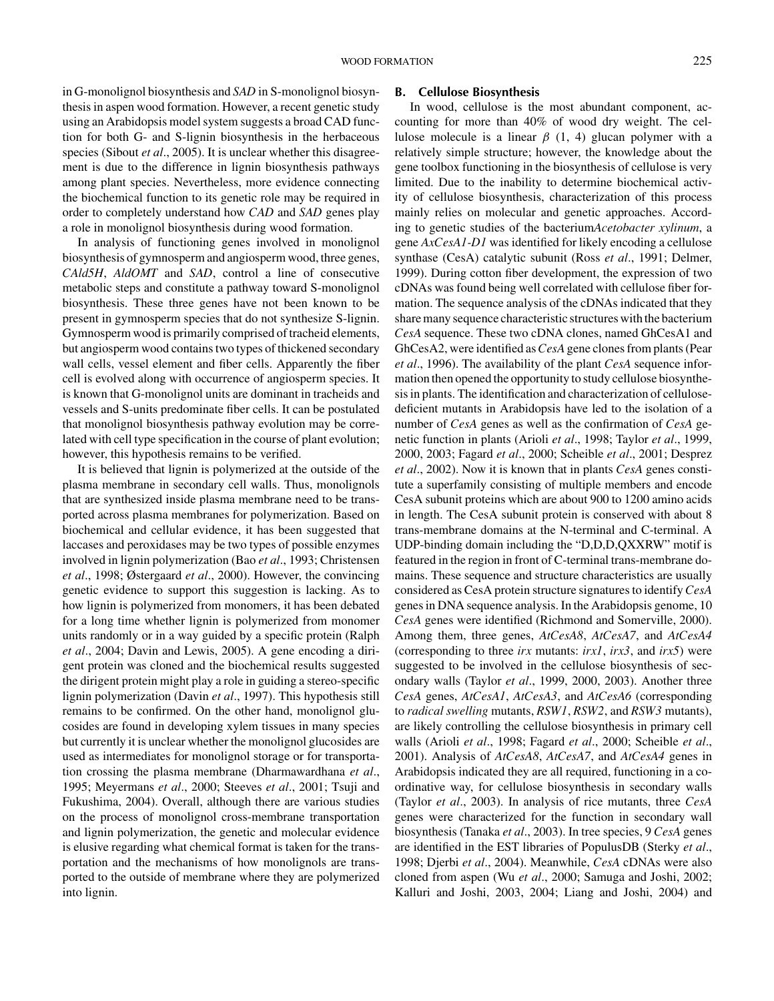in G-monolignol biosynthesis and *SAD* in S-monolignol biosynthesis in aspen wood formation. However, a recent genetic study using an Arabidopsis model system suggests a broad CAD function for both G- and S-lignin biosynthesis in the herbaceous species (Sibout *et al*., 2005). It is unclear whether this disagreement is due to the difference in lignin biosynthesis pathways among plant species. Nevertheless, more evidence connecting the biochemical function to its genetic role may be required in order to completely understand how *CAD* and *SAD* genes play a role in monolignol biosynthesis during wood formation.

In analysis of functioning genes involved in monolignol biosynthesis of gymnosperm and angiosperm wood, three genes, *CAld5H*, *AldOMT* and *SAD*, control a line of consecutive metabolic steps and constitute a pathway toward S-monolignol biosynthesis. These three genes have not been known to be present in gymnosperm species that do not synthesize S-lignin. Gymnosperm wood is primarily comprised of tracheid elements, but angiosperm wood contains two types of thickened secondary wall cells, vessel element and fiber cells. Apparently the fiber cell is evolved along with occurrence of angiosperm species. It is known that G-monolignol units are dominant in tracheids and vessels and S-units predominate fiber cells. It can be postulated that monolignol biosynthesis pathway evolution may be correlated with cell type specification in the course of plant evolution; however, this hypothesis remains to be verified.

It is believed that lignin is polymerized at the outside of the plasma membrane in secondary cell walls. Thus, monolignols that are synthesized inside plasma membrane need to be transported across plasma membranes for polymerization. Based on biochemical and cellular evidence, it has been suggested that laccases and peroxidases may be two types of possible enzymes involved in lignin polymerization (Bao *et al*., 1993; Christensen *et al*., 1998; Østergaard *et al*., 2000). However, the convincing genetic evidence to support this suggestion is lacking. As to how lignin is polymerized from monomers, it has been debated for a long time whether lignin is polymerized from monomer units randomly or in a way guided by a specific protein (Ralph *et al*., 2004; Davin and Lewis, 2005). A gene encoding a dirigent protein was cloned and the biochemical results suggested the dirigent protein might play a role in guiding a stereo-specific lignin polymerization (Davin *et al*., 1997). This hypothesis still remains to be confirmed. On the other hand, monolignol glucosides are found in developing xylem tissues in many species but currently it is unclear whether the monolignol glucosides are used as intermediates for monolignol storage or for transportation crossing the plasma membrane (Dharmawardhana *et al*., 1995; Meyermans *et al*., 2000; Steeves *et al*., 2001; Tsuji and Fukushima, 2004). Overall, although there are various studies on the process of monolignol cross-membrane transportation and lignin polymerization, the genetic and molecular evidence is elusive regarding what chemical format is taken for the transportation and the mechanisms of how monolignols are transported to the outside of membrane where they are polymerized into lignin.

#### **B. Cellulose Biosynthesis**

In wood, cellulose is the most abundant component, accounting for more than 40% of wood dry weight. The cellulose molecule is a linear  $\beta$  (1, 4) glucan polymer with a relatively simple structure; however, the knowledge about the gene toolbox functioning in the biosynthesis of cellulose is very limited. Due to the inability to determine biochemical activity of cellulose biosynthesis, characterization of this process mainly relies on molecular and genetic approaches. According to genetic studies of the bacterium*Acetobacter xylinum*, a gene *AxCesA1-D1* was identified for likely encoding a cellulose synthase (CesA) catalytic subunit (Ross *et al*., 1991; Delmer, 1999). During cotton fiber development, the expression of two cDNAs was found being well correlated with cellulose fiber formation. The sequence analysis of the cDNAs indicated that they share many sequence characteristic structures with the bacterium *CesA* sequence. These two cDNA clones, named GhCesA1 and GhCesA2, were identified as*CesA* gene clones from plants (Pear *et al*., 1996). The availability of the plant *CesA* sequence information then opened the opportunity to study cellulose biosynthesis in plants. The identification and characterization of cellulosedeficient mutants in Arabidopsis have led to the isolation of a number of *CesA* genes as well as the confirmation of *CesA* genetic function in plants (Arioli *et al*., 1998; Taylor *et al*., 1999, 2000, 2003; Fagard *et al*., 2000; Scheible *et al*., 2001; Desprez *et al*., 2002). Now it is known that in plants *CesA* genes constitute a superfamily consisting of multiple members and encode CesA subunit proteins which are about 900 to 1200 amino acids in length. The CesA subunit protein is conserved with about 8 trans-membrane domains at the N-terminal and C-terminal. A UDP-binding domain including the "D,D,D,QXXRW" motif is featured in the region in front of C-terminal trans-membrane domains. These sequence and structure characteristics are usually considered as CesA protein structure signatures to identify *CesA* genes in DNA sequence analysis. In the Arabidopsis genome, 10 *CesA* genes were identified (Richmond and Somerville, 2000). Among them, three genes, *AtCesA8*, *AtCesA7*, and *AtCesA4* (corresponding to three *irx* mutants: *irx1*, *irx3*, and *irx5*) were suggested to be involved in the cellulose biosynthesis of secondary walls (Taylor *et al*., 1999, 2000, 2003). Another three *CesA* genes, *AtCesA1*, *AtCesA3*, and *AtCesA6* (corresponding to *radical swelling* mutants, *RSW1*, *RSW2*, and *RSW3* mutants), are likely controlling the cellulose biosynthesis in primary cell walls (Arioli *et al*., 1998; Fagard *et al*., 2000; Scheible *et al*., 2001). Analysis of *AtCesA8*, *AtCesA7*, and *AtCesA4* genes in Arabidopsis indicated they are all required, functioning in a coordinative way, for cellulose biosynthesis in secondary walls (Taylor *et al*., 2003). In analysis of rice mutants, three *CesA* genes were characterized for the function in secondary wall biosynthesis (Tanaka *et al*., 2003). In tree species, 9 *CesA* genes are identified in the EST libraries of PopulusDB (Sterky *et al*., 1998; Djerbi *et al*., 2004). Meanwhile, *CesA* cDNAs were also cloned from aspen (Wu *et al*., 2000; Samuga and Joshi, 2002; Kalluri and Joshi, 2003, 2004; Liang and Joshi, 2004) and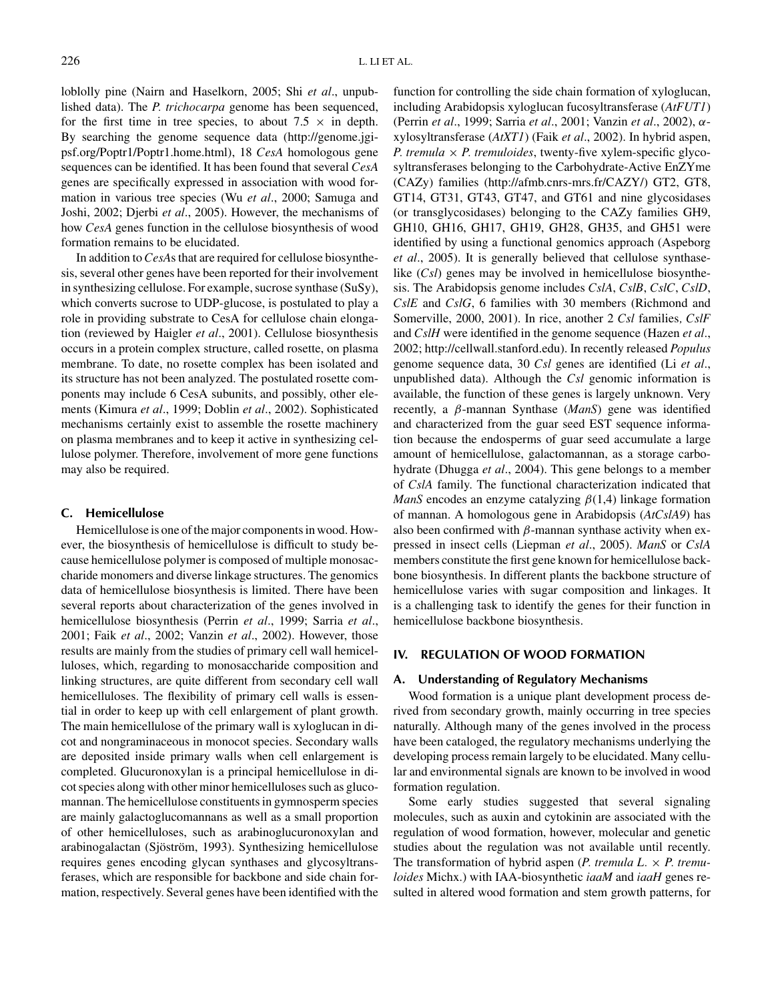loblolly pine (Nairn and Haselkorn, 2005; Shi *et al*., unpublished data). The *P. trichocarpa* genome has been sequenced, for the first time in tree species, to about  $7.5 \times$  in depth. By searching the genome sequence data (http://genome.jgipsf.org/Poptr1/Poptr1.home.html), 18 *CesA* homologous gene sequences can be identified. It has been found that several *CesA* genes are specifically expressed in association with wood formation in various tree species (Wu *et al*., 2000; Samuga and Joshi, 2002; Djerbi *et al*., 2005). However, the mechanisms of how *CesA* genes function in the cellulose biosynthesis of wood formation remains to be elucidated.

In addition to *CesAs* that are required for cellulose biosynthesis, several other genes have been reported for their involvement in synthesizing cellulose. For example, sucrose synthase (SuSy), which converts sucrose to UDP-glucose, is postulated to play a role in providing substrate to CesA for cellulose chain elongation (reviewed by Haigler *et al*., 2001). Cellulose biosynthesis occurs in a protein complex structure, called rosette, on plasma membrane. To date, no rosette complex has been isolated and its structure has not been analyzed. The postulated rosette components may include 6 CesA subunits, and possibly, other elements (Kimura *et al*., 1999; Doblin *et al*., 2002). Sophisticated mechanisms certainly exist to assemble the rosette machinery on plasma membranes and to keep it active in synthesizing cellulose polymer. Therefore, involvement of more gene functions may also be required.

#### **C. Hemicellulose**

Hemicellulose is one of the major components in wood. However, the biosynthesis of hemicellulose is difficult to study because hemicellulose polymer is composed of multiple monosaccharide monomers and diverse linkage structures. The genomics data of hemicellulose biosynthesis is limited. There have been several reports about characterization of the genes involved in hemicellulose biosynthesis (Perrin *et al*., 1999; Sarria *et al*., 2001; Faik *et al*., 2002; Vanzin *et al*., 2002). However, those results are mainly from the studies of primary cell wall hemicelluloses, which, regarding to monosaccharide composition and linking structures, are quite different from secondary cell wall hemicelluloses. The flexibility of primary cell walls is essential in order to keep up with cell enlargement of plant growth. The main hemicellulose of the primary wall is xyloglucan in dicot and nongraminaceous in monocot species. Secondary walls are deposited inside primary walls when cell enlargement is completed. Glucuronoxylan is a principal hemicellulose in dicot species along with other minor hemicelluloses such as glucomannan. The hemicellulose constituents in gymnosperm species are mainly galactoglucomannans as well as a small proportion of other hemicelluloses, such as arabinoglucuronoxylan and arabinogalactan (Sjöström, 1993). Synthesizing hemicellulose requires genes encoding glycan synthases and glycosyltransferases, which are responsible for backbone and side chain formation, respectively. Several genes have been identified with the function for controlling the side chain formation of xyloglucan, including Arabidopsis xyloglucan fucosyltransferase (*AtFUT1*) (Perrin *et al*., 1999; Sarria *et al*., 2001; Vanzin *et al*., 2002), αxylosyltransferase (*AtXT1*) (Faik *et al*., 2002). In hybrid aspen, *P. tremula*  $\times$  *P. tremuloides*, twenty-five xylem-specific glycosyltransferases belonging to the Carbohydrate-Active EnZYme (CAZy) families (http://afmb.cnrs-mrs.fr/CAZY/) GT2, GT8, GT14, GT31, GT43, GT47, and GT61 and nine glycosidases (or transglycosidases) belonging to the CAZy families GH9, GH10, GH16, GH17, GH19, GH28, GH35, and GH51 were identified by using a functional genomics approach (Aspeborg *et al*., 2005). It is generally believed that cellulose synthaselike (*Csl*) genes may be involved in hemicellulose biosynthesis. The Arabidopsis genome includes *CslA*, *CslB*, *CslC*, *CslD*, *CslE* and *CslG*, 6 families with 30 members (Richmond and Somerville, 2000, 2001). In rice, another 2 *Csl* families*, CslF* and *CslH* were identified in the genome sequence (Hazen *et al*., 2002; http://cellwall.stanford.edu). In recently released *Populus* genome sequence data, 30 *Csl* genes are identified (Li *et al*., unpublished data). Although the *Csl* genomic information is available, the function of these genes is largely unknown. Very recently, a β-mannan Synthase (*ManS*) gene was identified and characterized from the guar seed EST sequence information because the endosperms of guar seed accumulate a large amount of hemicellulose, galactomannan, as a storage carbohydrate (Dhugga *et al*., 2004). This gene belongs to a member of *CslA* family. The functional characterization indicated that *ManS* encodes an enzyme catalyzing  $\beta(1,4)$  linkage formation of mannan. A homologous gene in Arabidopsis (*AtCslA9*) has also been confirmed with  $\beta$ -mannan synthase activity when expressed in insect cells (Liepman *et al*., 2005). *ManS* or *CslA* members constitute the first gene known for hemicellulose backbone biosynthesis. In different plants the backbone structure of hemicellulose varies with sugar composition and linkages. It is a challenging task to identify the genes for their function in hemicellulose backbone biosynthesis.

# **IV. REGULATION OF WOOD FORMATION**

#### **A. Understanding of Regulatory Mechanisms**

Wood formation is a unique plant development process derived from secondary growth, mainly occurring in tree species naturally. Although many of the genes involved in the process have been cataloged, the regulatory mechanisms underlying the developing process remain largely to be elucidated. Many cellular and environmental signals are known to be involved in wood formation regulation.

Some early studies suggested that several signaling molecules, such as auxin and cytokinin are associated with the regulation of wood formation, however, molecular and genetic studies about the regulation was not available until recently. The transformation of hybrid aspen (*P. tremula L.*  $\times$  *P. tremuloides* Michx.) with IAA-biosynthetic *iaaM* and *iaaH* genes resulted in altered wood formation and stem growth patterns, for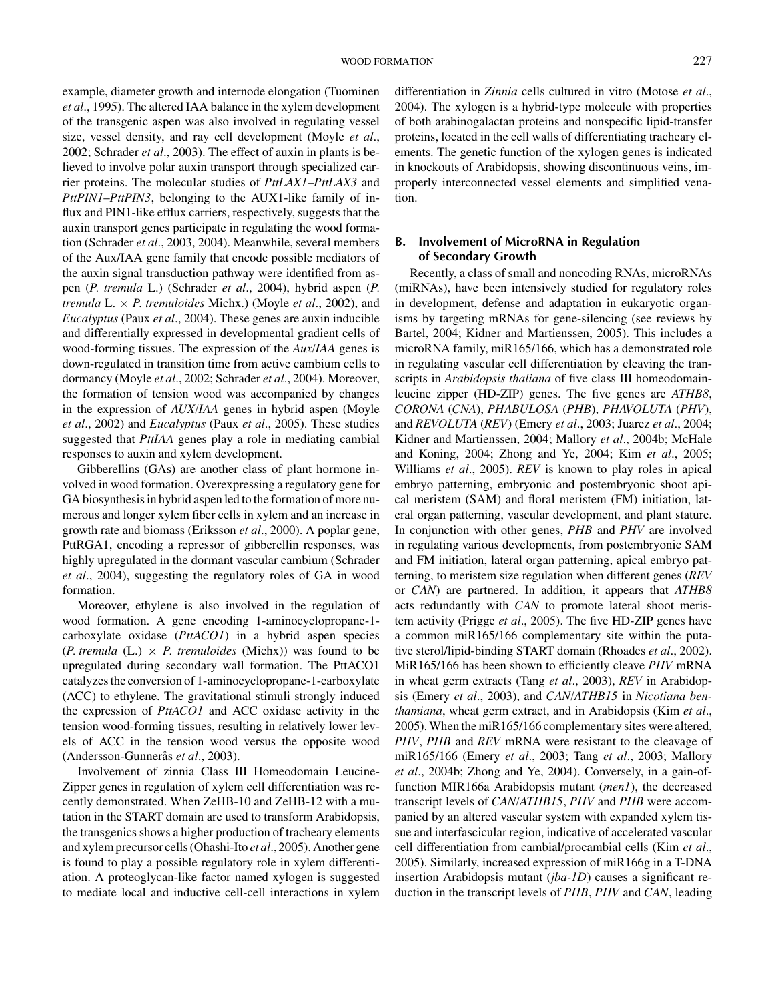example, diameter growth and internode elongation (Tuominen *et al*., 1995). The altered IAA balance in the xylem development of the transgenic aspen was also involved in regulating vessel size, vessel density, and ray cell development (Moyle *et al*., 2002; Schrader *et al*., 2003). The effect of auxin in plants is believed to involve polar auxin transport through specialized carrier proteins. The molecular studies of *PttLAX1*–*PttLAX3* and *PttPIN1*–*PttPIN3*, belonging to the AUX1-like family of influx and PIN1-like efflux carriers, respectively, suggests that the auxin transport genes participate in regulating the wood formation (Schrader *et al*., 2003, 2004). Meanwhile, several members of the Aux/IAA gene family that encode possible mediators of the auxin signal transduction pathway were identified from aspen (*P. tremula* L.) (Schrader *et al*., 2004), hybrid aspen (*P. tremula* L. × *P. tremuloides* Michx.) (Moyle *et al*., 2002), and *Eucalyptus* (Paux *et al*., 2004). These genes are auxin inducible and differentially expressed in developmental gradient cells of wood-forming tissues. The expression of the *Aux/IAA* genes is down-regulated in transition time from active cambium cells to dormancy (Moyle *et al*., 2002; Schrader *et al*., 2004). Moreover, the formation of tension wood was accompanied by changes in the expression of *AUX/IAA* genes in hybrid aspen (Moyle *et al*., 2002) and *Eucalyptus* (Paux *et al*., 2005). These studies suggested that *PttIAA* genes play a role in mediating cambial responses to auxin and xylem development.

Gibberellins (GAs) are another class of plant hormone involved in wood formation. Overexpressing a regulatory gene for GA biosynthesis in hybrid aspen led to the formation of more numerous and longer xylem fiber cells in xylem and an increase in growth rate and biomass (Eriksson *et al*., 2000). A poplar gene, PttRGA1, encoding a repressor of gibberellin responses, was highly upregulated in the dormant vascular cambium (Schrader *et al*., 2004), suggesting the regulatory roles of GA in wood formation.

Moreover, ethylene is also involved in the regulation of wood formation. A gene encoding 1-aminocyclopropane-1 carboxylate oxidase (*PttACO1*) in a hybrid aspen species  $(P.$  *tremula*  $(L.) \times P.$  *tremuloides*  $(Michx)$  was found to be upregulated during secondary wall formation. The PttACO1 catalyzes the conversion of 1-aminocyclopropane-1-carboxylate (ACC) to ethylene. The gravitational stimuli strongly induced the expression of *PttACO1* and ACC oxidase activity in the tension wood-forming tissues, resulting in relatively lower levels of ACC in the tension wood versus the opposite wood (Andersson-Gunnerås et al., 2003).

Involvement of zinnia Class III Homeodomain Leucine-Zipper genes in regulation of xylem cell differentiation was recently demonstrated. When ZeHB-10 and ZeHB-12 with a mutation in the START domain are used to transform Arabidopsis, the transgenics shows a higher production of tracheary elements and xylem precursor cells (Ohashi-Ito *et al*., 2005). Another gene is found to play a possible regulatory role in xylem differentiation. A proteoglycan-like factor named xylogen is suggested to mediate local and inductive cell-cell interactions in xylem differentiation in *Zinnia* cells cultured in vitro (Motose *et al*., 2004). The xylogen is a hybrid-type molecule with properties of both arabinogalactan proteins and nonspecific lipid-transfer proteins, located in the cell walls of differentiating tracheary elements. The genetic function of the xylogen genes is indicated in knockouts of Arabidopsis, showing discontinuous veins, improperly interconnected vessel elements and simplified venation.

# **B. Involvement of MicroRNA in Regulation of Secondary Growth**

Recently, a class of small and noncoding RNAs, microRNAs (miRNAs), have been intensively studied for regulatory roles in development, defense and adaptation in eukaryotic organisms by targeting mRNAs for gene-silencing (see reviews by Bartel, 2004; Kidner and Martienssen, 2005). This includes a microRNA family, miR165/166, which has a demonstrated role in regulating vascular cell differentiation by cleaving the transcripts in *Arabidopsis thaliana* of five class III homeodomainleucine zipper (HD-ZIP) genes. The five genes are *ATHB8*, *CORONA* (*CNA*), *PHABULOSA* (*PHB*), *PHAVOLUTA* (*PHV*), and *REVOLUTA* (*REV*) (Emery *et al*., 2003; Juarez *et al*., 2004; Kidner and Martienssen, 2004; Mallory *et al*., 2004b; McHale and Koning, 2004; Zhong and Ye, 2004; Kim *et al*., 2005; Williams *et al*., 2005). *REV* is known to play roles in apical embryo patterning, embryonic and postembryonic shoot apical meristem (SAM) and floral meristem (FM) initiation, lateral organ patterning, vascular development, and plant stature. In conjunction with other genes, *PHB* and *PHV* are involved in regulating various developments, from postembryonic SAM and FM initiation, lateral organ patterning, apical embryo patterning, to meristem size regulation when different genes (*REV* or *CAN*) are partnered. In addition, it appears that *ATHB8* acts redundantly with *CAN* to promote lateral shoot meristem activity (Prigge *et al*., 2005). The five HD-ZIP genes have a common miR165/166 complementary site within the putative sterol/lipid-binding START domain (Rhoades *et al*., 2002). MiR165/166 has been shown to efficiently cleave *PHV* mRNA in wheat germ extracts (Tang *et al*., 2003), *REV* in Arabidopsis (Emery *et al*., 2003), and *CAN/ATHB15* in *Nicotiana benthamiana*, wheat germ extract, and in Arabidopsis (Kim *et al*., 2005). When the miR165/166 complementary sites were altered, *PHV*, *PHB* and *REV* mRNA were resistant to the cleavage of miR165/166 (Emery *et al*., 2003; Tang *et al*., 2003; Mallory *et al*., 2004b; Zhong and Ye, 2004). Conversely, in a gain-offunction MIR166a Arabidopsis mutant (*men1*), the decreased transcript levels of *CAN/ATHB15*, *PHV* and *PHB* were accompanied by an altered vascular system with expanded xylem tissue and interfascicular region, indicative of accelerated vascular cell differentiation from cambial/procambial cells (Kim *et al*., 2005). Similarly, increased expression of miR166g in a T-DNA insertion Arabidopsis mutant (*jba-1D*) causes a significant reduction in the transcript levels of *PHB*, *PHV* and *CAN*, leading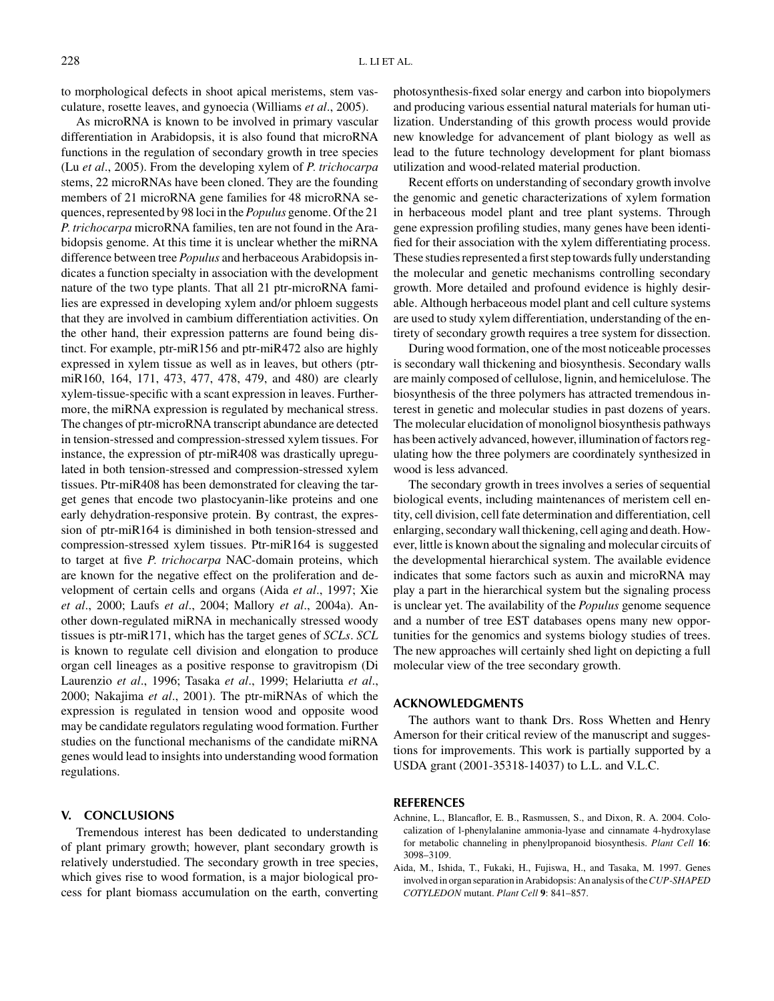to morphological defects in shoot apical meristems, stem vasculature, rosette leaves, and gynoecia (Williams *et al*., 2005).

As microRNA is known to be involved in primary vascular differentiation in Arabidopsis, it is also found that microRNA functions in the regulation of secondary growth in tree species (Lu *et al*., 2005). From the developing xylem of *P. trichocarpa* stems, 22 microRNAs have been cloned. They are the founding members of 21 microRNA gene families for 48 microRNA sequences, represented by 98 loci in the *Populus* genome. Of the 21 *P. trichocarpa* microRNA families, ten are not found in the Arabidopsis genome. At this time it is unclear whether the miRNA difference between tree *Populus* and herbaceous Arabidopsis indicates a function specialty in association with the development nature of the two type plants. That all 21 ptr-microRNA families are expressed in developing xylem and/or phloem suggests that they are involved in cambium differentiation activities. On the other hand, their expression patterns are found being distinct. For example, ptr-miR156 and ptr-miR472 also are highly expressed in xylem tissue as well as in leaves, but others (ptrmiR160, 164, 171, 473, 477, 478, 479, and 480) are clearly xylem-tissue-specific with a scant expression in leaves. Furthermore, the miRNA expression is regulated by mechanical stress. The changes of ptr-microRNA transcript abundance are detected in tension-stressed and compression-stressed xylem tissues. For instance, the expression of ptr-miR408 was drastically upregulated in both tension-stressed and compression-stressed xylem tissues. Ptr-miR408 has been demonstrated for cleaving the target genes that encode two plastocyanin-like proteins and one early dehydration-responsive protein. By contrast, the expression of ptr-miR164 is diminished in both tension-stressed and compression-stressed xylem tissues. Ptr-miR164 is suggested to target at five *P. trichocarpa* NAC-domain proteins, which are known for the negative effect on the proliferation and development of certain cells and organs (Aida *et al*., 1997; Xie *et al*., 2000; Laufs *et al*., 2004; Mallory *et al*., 2004a). Another down-regulated miRNA in mechanically stressed woody tissues is ptr-miR171, which has the target genes of *SCLs*. *SCL* is known to regulate cell division and elongation to produce organ cell lineages as a positive response to gravitropism (Di Laurenzio *et al*., 1996; Tasaka *et al*., 1999; Helariutta *et al*., 2000; Nakajima *et al*., 2001). The ptr-miRNAs of which the expression is regulated in tension wood and opposite wood may be candidate regulators regulating wood formation. Further studies on the functional mechanisms of the candidate miRNA genes would lead to insights into understanding wood formation regulations.

## **V. CONCLUSIONS**

Tremendous interest has been dedicated to understanding of plant primary growth; however, plant secondary growth is relatively understudied. The secondary growth in tree species, which gives rise to wood formation, is a major biological process for plant biomass accumulation on the earth, converting photosynthesis-fixed solar energy and carbon into biopolymers and producing various essential natural materials for human utilization. Understanding of this growth process would provide new knowledge for advancement of plant biology as well as lead to the future technology development for plant biomass utilization and wood-related material production.

Recent efforts on understanding of secondary growth involve the genomic and genetic characterizations of xylem formation in herbaceous model plant and tree plant systems. Through gene expression profiling studies, many genes have been identified for their association with the xylem differentiating process. These studies represented a first step towards fully understanding the molecular and genetic mechanisms controlling secondary growth. More detailed and profound evidence is highly desirable. Although herbaceous model plant and cell culture systems are used to study xylem differentiation, understanding of the entirety of secondary growth requires a tree system for dissection.

During wood formation, one of the most noticeable processes is secondary wall thickening and biosynthesis. Secondary walls are mainly composed of cellulose, lignin, and hemicelulose. The biosynthesis of the three polymers has attracted tremendous interest in genetic and molecular studies in past dozens of years. The molecular elucidation of monolignol biosynthesis pathways has been actively advanced, however, illumination of factors regulating how the three polymers are coordinately synthesized in wood is less advanced.

The secondary growth in trees involves a series of sequential biological events, including maintenances of meristem cell entity, cell division, cell fate determination and differentiation, cell enlarging, secondary wall thickening, cell aging and death. However, little is known about the signaling and molecular circuits of the developmental hierarchical system. The available evidence indicates that some factors such as auxin and microRNA may play a part in the hierarchical system but the signaling process is unclear yet. The availability of the *Populus* genome sequence and a number of tree EST databases opens many new opportunities for the genomics and systems biology studies of trees. The new approaches will certainly shed light on depicting a full molecular view of the tree secondary growth.

#### **ACKNOWLEDGMENTS**

The authors want to thank Drs. Ross Whetten and Henry Amerson for their critical review of the manuscript and suggestions for improvements. This work is partially supported by a USDA grant (2001-35318-14037) to L.L. and V.L.C.

#### **REFERENCES**

- Achnine, L., Blancaflor, E. B., Rasmussen, S., and Dixon, R. A. 2004. Colocalization of l-phenylalanine ammonia-lyase and cinnamate 4-hydroxylase for metabolic channeling in phenylpropanoid biosynthesis. *Plant Cell* **16**: 3098–3109.
- Aida, M., Ishida, T., Fukaki, H., Fujiswa, H., and Tasaka, M. 1997. Genes involved in organ separation in Arabidopsis: An analysis of the*CUP-SHAPED COTYLEDON* mutant. *Plant Cell* **9**: 841–857.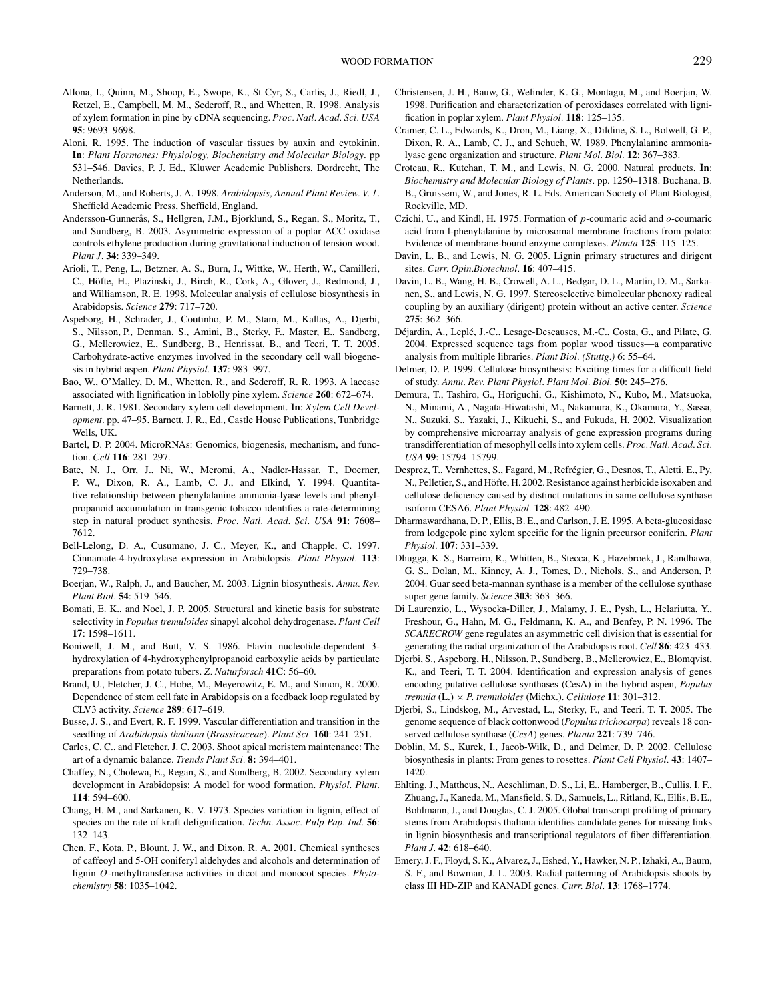- Allona, I., Quinn, M., Shoop, E., Swope, K., St Cyr, S., Carlis, J., Riedl, J., Retzel, E., Campbell, M. M., Sederoff, R., and Whetten, R. 1998. Analysis of xylem formation in pine by cDNA sequencing. *Proc. Natl. Acad. Sci. USA* **95**: 9693–9698.
- Aloni, R. 1995. The induction of vascular tissues by auxin and cytokinin. **In**: *Plant Hormones: Physiology, Biochemistry and Molecular Biology*. pp 531–546. Davies, P. J. Ed., Kluwer Academic Publishers, Dordrecht, The Netherlands.
- Anderson, M., and Roberts, J. A. 1998. *Arabidopsis, Annual Plant Review. V. 1*. Sheffield Academic Press, Sheffield, England.
- Andersson-Gunnerås, S., Hellgren, J.M., Björklund, S., Regan, S., Moritz, T., and Sundberg, B. 2003. Asymmetric expression of a poplar ACC oxidase controls ethylene production during gravitational induction of tension wood. *Plant J*. **34**: 339–349.
- Arioli, T., Peng, L., Betzner, A. S., Burn, J., Wittke, W., Herth, W., Camilleri, C., Höfte, H., Plazinski, J., Birch, R., Cork, A., Glover, J., Redmond, J., and Williamson, R. E. 1998. Molecular analysis of cellulose biosynthesis in Arabidopsis. *Science* **279**: 717–720.
- Aspeborg, H., Schrader, J., Coutinho, P. M., Stam, M., Kallas, A., Djerbi, S., Nilsson, P., Denman, S., Amini, B., Sterky, F., Master, E., Sandberg, G., Mellerowicz, E., Sundberg, B., Henrissat, B., and Teeri, T. T. 2005. Carbohydrate-active enzymes involved in the secondary cell wall biogenesis in hybrid aspen. *Plant Physiol.* **137**: 983–997.
- Bao, W., O'Malley, D. M., Whetten, R., and Sederoff, R. R. 1993. A laccase associated with lignification in loblolly pine xylem. *Science* **260**: 672–674.
- Barnett, J. R. 1981. Secondary xylem cell development. **In**: *Xylem Cell Development*. pp. 47–95. Barnett, J. R., Ed., Castle House Publications, Tunbridge Wells, UK.
- Bartel, D. P. 2004. MicroRNAs: Genomics, biogenesis, mechanism, and function. *Cell* **116**: 281–297.
- Bate, N. J., Orr, J., Ni, W., Meromi, A., Nadler-Hassar, T., Doerner, P. W., Dixon, R. A., Lamb, C. J., and Elkind, Y. 1994. Quantitative relationship between phenylalanine ammonia-lyase levels and phenylpropanoid accumulation in transgenic tobacco identifies a rate-determining step in natural product synthesis. *Proc. Natl. Acad. Sci. USA* **91**: 7608– 7612.
- Bell-Lelong, D. A., Cusumano, J. C., Meyer, K., and Chapple, C. 1997. Cinnamate-4-hydroxylase expression in Arabidopsis. *Plant Physiol.* **113**: 729–738.
- Boerjan, W., Ralph, J., and Baucher, M. 2003. Lignin biosynthesis. *Annu. Rev. Plant Biol.* **54**: 519–546.
- Bomati, E. K., and Noel, J. P. 2005. Structural and kinetic basis for substrate selectivity in *Populus tremuloides* sinapyl alcohol dehydrogenase. *Plant Cell* **17**: 1598–1611.
- Boniwell, J. M., and Butt, V. S. 1986. Flavin nucleotide-dependent 3 hydroxylation of 4-hydroxyphenylpropanoid carboxylic acids by particulate preparations from potato tubers. *Z. Naturforsch* **41C**: 56–60.
- Brand, U., Fletcher, J. C., Hobe, M., Meyerowitz, E. M., and Simon, R. 2000. Dependence of stem cell fate in Arabidopsis on a feedback loop regulated by CLV3 activity. *Science* **289**: 617–619.
- Busse, J. S., and Evert, R. F. 1999. Vascular differentiation and transition in the seedling of *Arabidopsis thaliana* (*Brassicaceae*). *Plant Sci.* **160**: 241–251.
- Carles, C. C., and Fletcher, J. C. 2003. Shoot apical meristem maintenance: The art of a dynamic balance. *Trends Plant Sci.* **8:** 394–401.
- Chaffey, N., Cholewa, E., Regan, S., and Sundberg, B. 2002. Secondary xylem development in Arabidopsis: A model for wood formation. *Physiol. Plant.* **114**: 594–600.
- Chang, H. M., and Sarkanen, K. V. 1973. Species variation in lignin, effect of species on the rate of kraft delignification. *Techn. Assoc. Pulp Pap. Ind.* **56**: 132–143.
- Chen, F., Kota, P., Blount, J. W., and Dixon, R. A. 2001. Chemical syntheses of caffeoyl and 5-OH coniferyl aldehydes and alcohols and determination of lignin *O*-methyltransferase activities in dicot and monocot species. *Phytochemistry* **58**: 1035–1042.
- Christensen, J. H., Bauw, G., Welinder, K. G., Montagu, M., and Boerjan, W. 1998. Purification and characterization of peroxidases correlated with lignification in poplar xylem. *Plant Physiol.* **118**: 125–135.
- Cramer, C. L., Edwards, K., Dron, M., Liang, X., Dildine, S. L., Bolwell, G. P., Dixon, R. A., Lamb, C. J., and Schuch, W. 1989. Phenylalanine ammonialyase gene organization and structure. *Plant Mol. Biol.* **12**: 367–383.
- Croteau, R., Kutchan, T. M., and Lewis, N. G. 2000. Natural products. **In**: *Biochemistry and Molecular Biology of Plants.* pp. 1250–1318. Buchana, B. B., Gruissem, W., and Jones, R. L. Eds. American Society of Plant Biologist, Rockville, MD.
- Czichi, U., and Kindl, H. 1975. Formation of *p*-coumaric acid and *o*-coumaric acid from l-phenylalanine by microsomal membrane fractions from potato: Evidence of membrane-bound enzyme complexes. *Planta* **125**: 115–125.
- Davin, L. B., and Lewis, N. G. 2005. Lignin primary structures and dirigent sites. *Curr. Opin.Biotechnol.* **16**: 407–415.
- Davin, L. B., Wang, H. B., Crowell, A. L., Bedgar, D. L., Martin, D. M., Sarkanen, S., and Lewis, N. G. 1997. Stereoselective bimolecular phenoxy radical coupling by an auxiliary (dirigent) protein without an active center. *Science* **275**: 362–366.
- Déjardin, A., Leplé, J.-C., Lesage-Descauses, M.-C., Costa, G., and Pilate, G. 2004. Expressed sequence tags from poplar wood tissues—a comparative analysis from multiple libraries. *Plant Biol. (Stuttg.)* **6**: 55–64.
- Delmer, D. P. 1999. Cellulose biosynthesis: Exciting times for a difficult field of study. *Annu. Rev. Plant Physiol. Plant Mol. Biol.* **50**: 245–276.
- Demura, T., Tashiro, G., Horiguchi, G., Kishimoto, N., Kubo, M., Matsuoka, N., Minami, A., Nagata-Hiwatashi, M., Nakamura, K., Okamura, Y., Sassa, N., Suzuki, S., Yazaki, J., Kikuchi, S., and Fukuda, H. 2002. Visualization by comprehensive microarray analysis of gene expression programs during transdifferentiation of mesophyll cells into xylem cells. *Proc. Natl. Acad. Sci. USA* **99**: 15794–15799.
- Desprez, T., Vernhettes, S., Fagard, M., Refrégier, G., Desnos, T., Aletti, E., Py, N., Pelletier, S., and Höfte, H. 2002. Resistance against herbicide isoxaben and cellulose deficiency caused by distinct mutations in same cellulose synthase isoform CESA6. *Plant Physiol.* **128**: 482–490.
- Dharmawardhana, D. P., Ellis, B. E., and Carlson, J. E. 1995. A beta-glucosidase from lodgepole pine xylem specific for the lignin precursor coniferin. *Plant Physiol.* **107**: 331–339.
- Dhugga, K. S., Barreiro, R., Whitten, B., Stecca, K., Hazebroek, J., Randhawa, G. S., Dolan, M., Kinney, A. J., Tomes, D., Nichols, S., and Anderson, P. 2004. Guar seed beta-mannan synthase is a member of the cellulose synthase super gene family. *Science* **303**: 363–366.
- Di Laurenzio, L., Wysocka-Diller, J., Malamy, J. E., Pysh, L., Helariutta, Y., Freshour, G., Hahn, M. G., Feldmann, K. A., and Benfey, P. N. 1996. The *SCARECROW* gene regulates an asymmetric cell division that is essential for generating the radial organization of the Arabidopsis root. *Cell* **86**: 423–433.
- Djerbi, S., Aspeborg, H., Nilsson, P., Sundberg, B., Mellerowicz, E., Blomqvist, K., and Teeri, T. T. 2004. Identification and expression analysis of genes encoding putative cellulose synthases (CesA) in the hybrid aspen, *Populus tremula* (L.) × *P. tremuloides* (Michx.). *Cellulose* **11**: 301–312.
- Djerbi, S., Lindskog, M., Arvestad, L., Sterky, F., and Teeri, T. T. 2005. The genome sequence of black cottonwood (*Populus trichocarpa*) reveals 18 conserved cellulose synthase (*CesA*) genes. *Planta* **221**: 739–746.
- Doblin, M. S., Kurek, I., Jacob-Wilk, D., and Delmer, D. P. 2002. Cellulose biosynthesis in plants: From genes to rosettes. *Plant Cell Physiol.* **43**: 1407– 1420.
- Ehlting, J., Mattheus, N., Aeschliman, D. S., Li, E., Hamberger, B., Cullis, I. F., Zhuang, J., Kaneda, M., Mansfield, S. D., Samuels, L., Ritland, K., Ellis, B. E., Bohlmann, J., and Douglas, C. J. 2005. Global transcript profiling of primary stems from Arabidopsis thaliana identifies candidate genes for missing links in lignin biosynthesis and transcriptional regulators of fiber differentiation. *Plant J.* **42**: 618–640.
- Emery, J. F., Floyd, S. K., Alvarez, J., Eshed, Y., Hawker, N. P., Izhaki, A., Baum, S. F., and Bowman, J. L. 2003. Radial patterning of Arabidopsis shoots by class III HD-ZIP and KANADI genes. *Curr. Biol.* **13**: 1768–1774.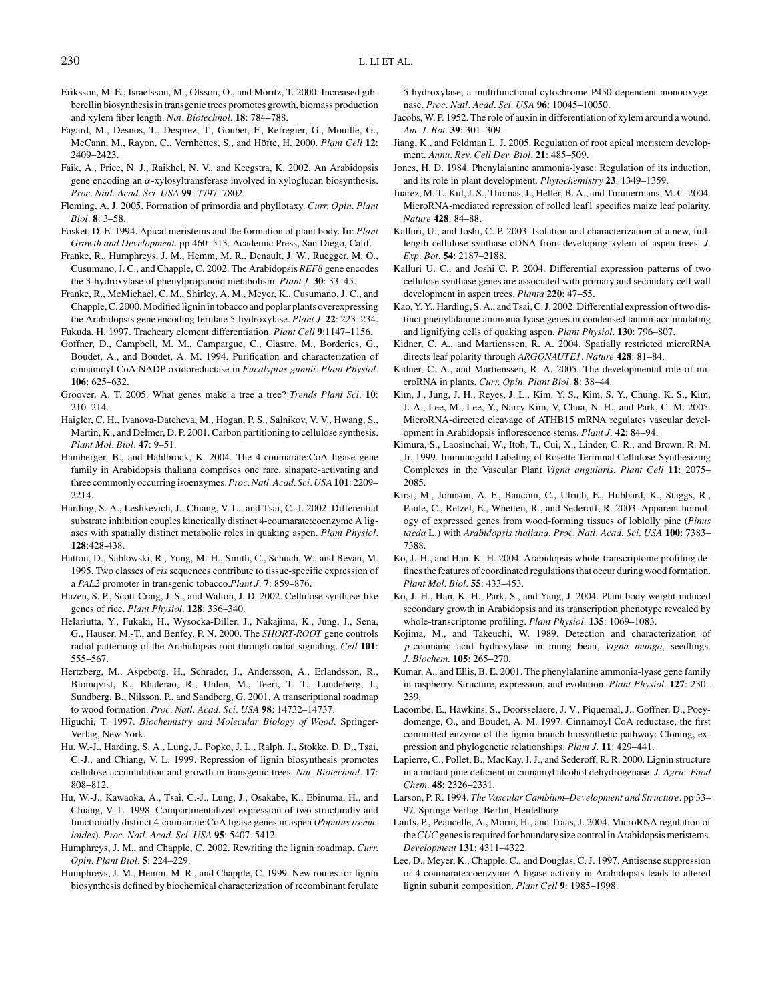- Fagard, M., Desnos, T., Desprez, T., Goubet, F., Refregier, G., Mouille, G., McCann, M., Rayon, C., Vernhettes, S., and Höfte, H. 2000. *Plant Cell* 12: 2409–2423.
- Faik, A., Price, N. J., Raikhel, N. V., and Keegstra, K. 2002. An Arabidopsis gene encoding an α-xylosyltransferase involved in xyloglucan biosynthesis. *Proc. Natl. Acad. Sci. USA* **99**: 7797–7802.
- Fleming, A. J. 2005. Formation of primordia and phyllotaxy. *Curr. Opin. Plant Biol.* **8**: 3–58.
- Fosket, D. E. 1994. Apical meristems and the formation of plant body. **In**: *Plant Growth and Development*. pp 460–513. Academic Press, San Diego, Calif.
- Franke, R., Humphreys, J. M., Hemm, M. R., Denault, J. W., Ruegger, M. O., Cusumano, J. C., and Chapple, C. 2002. The Arabidopsis *REF8* gene encodes the 3-hydroxylase of phenylpropanoid metabolism. *Plant J.* **30**: 33–45.
- Franke, R., McMichael, C. M., Shirley, A. M., Meyer, K., Cusumano, J. C., and Chapple, C. 2000. Modified lignin in tobacco and poplar plants overexpressing the Arabidopsis gene encoding ferulate 5-hydroxylase. *Plant J.* **22**: 223–234.
- Fukuda, H. 1997. Tracheary element differentiation. *Plant Cell* **9**:1147–1156.
- Goffner, D., Campbell, M. M., Campargue, C., Clastre, M., Borderies, G., Boudet, A., and Boudet, A. M. 1994. Purification and characterization of cinnamoyl-CoA:NADP oxidoreductase in *Eucalyptus gunnii*. *Plant Physiol.* **106**: 625–632.
- Groover, A. T. 2005. What genes make a tree a tree? *Trends Plant Sci.* **10**: 210–214.
- Haigler, C. H., Ivanova-Datcheva, M., Hogan, P. S., Salnikov, V. V., Hwang, S., Martin, K., and Delmer, D. P. 2001. Carbon partitioning to cellulose synthesis. *Plant Mol. Biol.* **47**: 9–51.
- Hamberger, B., and Hahlbrock, K. 2004. The 4-coumarate:CoA ligase gene family in Arabidopsis thaliana comprises one rare, sinapate-activating and three commonly occurring isoenzymes.*Proc. Natl. Acad. Sci. USA***101**: 2209– 2214.
- Harding, S. A., Leshkevich, J., Chiang, V. L., and Tsai, C.-J. 2002. Differential substrate inhibition couples kinetically distinct 4-coumarate:coenzyme A ligases with spatially distinct metabolic roles in quaking aspen. *Plant Physiol.* **128**:428-438.
- Hatton, D., Sablowski, R., Yung, M.-H., Smith, C., Schuch, W., and Bevan, M. 1995. Two classes of *cis* sequences contribute to tissue-specific expression of a *PAL2* promoter in transgenic tobacco.*Plant J.* **7**: 859–876.
- Hazen, S. P., Scott-Craig, J. S., and Walton, J. D. 2002. Cellulose synthase-like genes of rice. *Plant Physiol.* **128**: 336–340.
- Helariutta, Y., Fukaki, H., Wysocka-Diller, J., Nakajima, K., Jung, J., Sena, G., Hauser, M.-T., and Benfey, P. N. 2000. The *SHORT-ROOT* gene controls radial patterning of the Arabidopsis root through radial signaling. *Cell* **101**: 555–567.
- Hertzberg, M., Aspeborg, H., Schrader, J., Andersson, A., Erlandsson, R., Blomqvist, K., Bhalerao, R., Uhlen, M., Teeri, T. T., Lundeberg, J., Sundberg, B., Nilsson, P., and Sandberg, G. 2001. A transcriptional roadmap to wood formation. *Proc. Natl. Acad. Sci. USA* **98**: 14732–14737.
- Higuchi, T. 1997. *Biochemistry and Molecular Biology of Wood*. Springer-Verlag, New York.
- Hu, W.-J., Harding, S. A., Lung, J., Popko, J. L., Ralph, J., Stokke, D. D., Tsai, C.-J., and Chiang, V. L. 1999. Repression of lignin biosynthesis promotes cellulose accumulation and growth in transgenic trees. *Nat. Biotechnol.* **17**: 808–812.
- Hu, W.-J., Kawaoka, A., Tsai, C.-J., Lung, J., Osakabe, K., Ebinuma, H., and Chiang, V. L. 1998. Compartmentalized expression of two structurally and functionally distinct 4-coumarate:CoA ligase genes in aspen (*Populus tremuloides*). *Proc. Natl. Acad. Sci. USA* **95**: 5407–5412.
- Humphreys, J. M., and Chapple, C. 2002. Rewriting the lignin roadmap. *Curr. Opin. Plant Biol.* **5**: 224–229.
- Humphreys, J. M., Hemm, M. R., and Chapple, C. 1999. New routes for lignin biosynthesis defined by biochemical characterization of recombinant ferulate

5-hydroxylase, a multifunctional cytochrome P450-dependent monooxygenase. *Proc. Natl. Acad. Sci. USA* **96**: 10045–10050.

- Jacobs, W. P. 1952. The role of auxin in differentiation of xylem around a wound. *Am. J. Bot.* **39**: 301–309.
- Jiang, K., and Feldman L. J. 2005. Regulation of root apical meristem development. *Annu. Rev. Cell Dev. Biol.* **21**: 485–509.
- Jones, H. D. 1984. Phenylalanine ammonia-lyase: Regulation of its induction, and its role in plant development. *Phytochemistry* **23**: 1349–1359.
- Juarez, M. T., Kul, J. S., Thomas, J., Heller, B. A., and Timmermans, M. C. 2004. MicroRNA-mediated repression of rolled leaf1 specifies maize leaf polarity. *Nature* **428**: 84–88.
- Kalluri, U., and Joshi, C. P. 2003. Isolation and characterization of a new, fulllength cellulose synthase cDNA from developing xylem of aspen trees. *J. Exp. Bot.* **54**: 2187–2188.
- Kalluri U. C., and Joshi C. P. 2004. Differential expression patterns of two cellulose synthase genes are associated with primary and secondary cell wall development in aspen trees. *Planta* **220**: 47–55.
- Kao, Y. Y., Harding, S. A., and Tsai, C. J. 2002. Differential expression of two distinct phenylalanine ammonia-lyase genes in condensed tannin-accumulating and lignifying cells of quaking aspen. *Plant Physiol.* **130**: 796–807.
- Kidner, C. A., and Martienssen, R. A. 2004. Spatially restricted microRNA directs leaf polarity through *ARGONAUTE1*. *Nature* **428**: 81–84.
- Kidner, C. A., and Martienssen, R. A. 2005. The developmental role of microRNA in plants. *Curr. Opin. Plant Biol.* **8**: 38–44.
- Kim, J., Jung, J. H., Reyes, J. L., Kim, Y. S., Kim, S. Y., Chung, K. S., Kim, J. A., Lee, M., Lee, Y., Narry Kim, V, Chua, N. H., and Park, C. M. 2005. MicroRNA-directed cleavage of ATHB15 mRNA regulates vascular development in Arabidopsis inflorescence stems. *Plant J.* **42**: 84–94.
- Kimura, S., Laosinchai, W., Itoh, T., Cui, X., Linder, C. R., and Brown, R. M. Jr. 1999. Immunogold Labeling of Rosette Terminal Cellulose-Synthesizing Complexes in the Vascular Plant *Vigna angularis*. *Plant Cell* **11**: 2075– 2085.
- Kirst, M., Johnson, A. F., Baucom, C., Ulrich, E., Hubbard, K., Staggs, R., Paule, C., Retzel, E., Whetten, R., and Sederoff, R. 2003. Apparent homology of expressed genes from wood-forming tissues of loblolly pine (*Pinus taeda* L.) with *Arabidopsis thaliana*. *Proc. Natl. Acad. Sci. USA* **100**: 7383– 7388.
- Ko, J.-H., and Han, K.-H. 2004. Arabidopsis whole-transcriptome profiling defines the features of coordinated regulations that occur during wood formation. *Plant Mol. Biol*. **55**: 433–453.
- Ko, J.-H., Han, K.-H., Park, S., and Yang, J. 2004. Plant body weight-induced secondary growth in Arabidopsis and its transcription phenotype revealed by whole-transcriptome profiling. *Plant Physiol.* **135**: 1069–1083.
- Kojima, M., and Takeuchi, W. 1989. Detection and characterization of *p*-coumaric acid hydroxylase in mung bean, *Vigna mungo*, seedlings. *J. Biochem.* **105**: 265–270.
- Kumar, A., and Ellis, B. E. 2001. The phenylalanine ammonia-lyase gene family in raspberry. Structure, expression, and evolution. *Plant Physiol.* **127**: 230– 239.
- Lacombe, E., Hawkins, S., Doorsselaere, J. V., Piquemal, J., Goffner, D., Poeydomenge, O., and Boudet, A. M. 1997. Cinnamoyl CoA reductase, the first committed enzyme of the lignin branch biosynthetic pathway: Cloning, expression and phylogenetic relationships. *Plant J.* **11**: 429–441.
- Lapierre, C., Pollet, B., MacKay, J. J., and Sederoff, R. R. 2000. Lignin structure in a mutant pine deficient in cinnamyl alcohol dehydrogenase. *J. Agric. Food Chem.* **48**: 2326–2331.
- Larson, P. R. 1994. *The Vascular Cambium–Development and Structure*. pp 33– 97. Springe Verlag, Berlin, Heidelburg.
- Laufs, P., Peaucelle, A., Morin, H., and Traas, J. 2004. MicroRNA regulation of the*CUC*genes is required for boundary size control in Arabidopsis meristems. *Development* **131**: 4311–4322.
- Lee, D., Meyer, K., Chapple, C., and Douglas, C. J. 1997. Antisense suppression of 4-coumarate:coenzyme A ligase activity in Arabidopsis leads to altered lignin subunit composition. *Plant Cell* **9**: 1985–1998.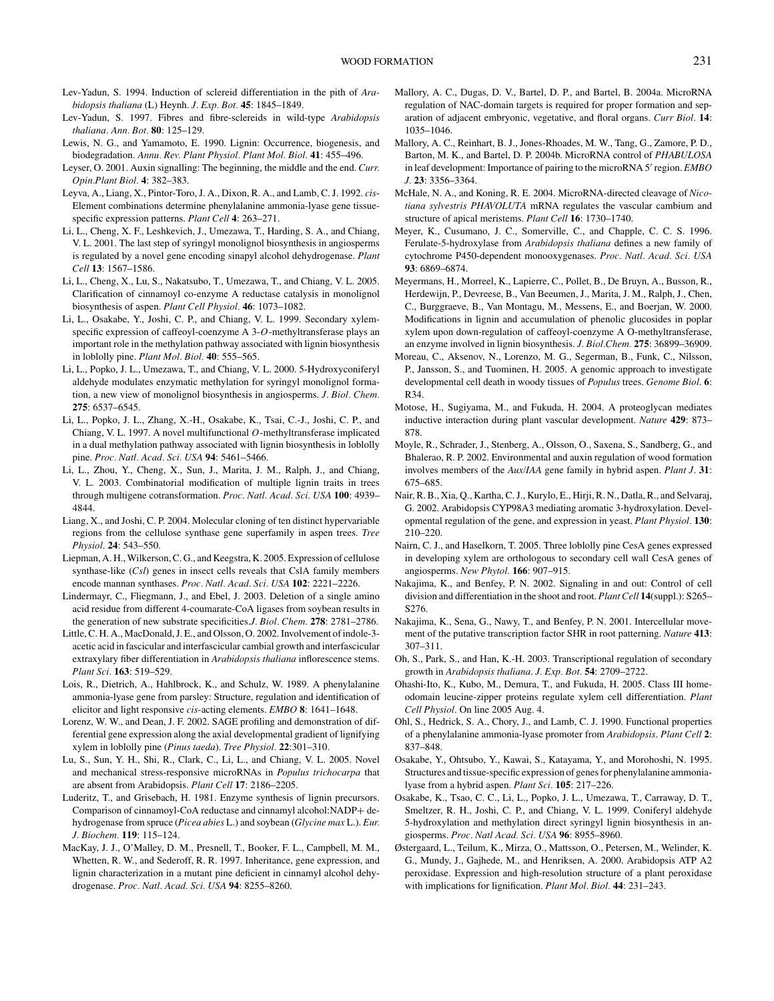- Lev-Yadun, S. 1994. Induction of sclereid differentiation in the pith of *Arabidopsis thaliana* (L) Heynh. *J. Exp. Bot.* **45**: 1845–1849.
- Lev-Yadun, S. 1997. Fibres and fibre-sclereids in wild-type *Arabidopsis thaliana*. *Ann. Bot.* **80**: 125–129.
- Lewis, N. G., and Yamamoto, E. 1990. Lignin: Occurrence, biogenesis, and biodegradation. *Annu. Rev. Plant Physiol. Plant Mol. Biol.* **41**: 455–496.
- Leyser, O. 2001. Auxin signalling: The beginning, the middle and the end. *Curr. Opin.Plant Biol.* **4**: 382–383.
- Leyva, A., Liang, X., Pintor-Toro, J. A., Dixon, R. A., and Lamb, C. J. 1992. *cis*-Element combinations determine phenylalanine ammonia-lyase gene tissuespecific expression patterns. *Plant Cell* **4**: 263–271.
- Li, L., Cheng, X. F., Leshkevich, J., Umezawa, T., Harding, S. A., and Chiang, V. L. 2001. The last step of syringyl monolignol biosynthesis in angiosperms is regulated by a novel gene encoding sinapyl alcohol dehydrogenase. *Plant Cell* **13**: 1567–1586.
- Li, L., Cheng, X., Lu, S., Nakatsubo, T., Umezawa, T., and Chiang, V. L. 2005. Clarification of cinnamoyl co-enzyme A reductase catalysis in monolignol biosynthesis of aspen. *Plant Cell Physiol.* **46**: 1073–1082.
- Li, L., Osakabe, Y., Joshi, C. P., and Chiang, V. L. 1999. Secondary xylemspecific expression of caffeoyl-coenzyme A 3-*O*-methyltransferase plays an important role in the methylation pathway associated with lignin biosynthesis in loblolly pine. *Plant Mol. Biol.* **40**: 555–565.
- Li, L., Popko, J. L., Umezawa, T., and Chiang, V. L. 2000. 5-Hydroxyconiferyl aldehyde modulates enzymatic methylation for syringyl monolignol formation, a new view of monolignol biosynthesis in angiosperms. *J. Biol. Chem.* **275**: 6537–6545.
- Li, L., Popko, J. L., Zhang, X.-H., Osakabe, K., Tsai, C.-J., Joshi, C. P., and Chiang, V. L. 1997. A novel multifunctional *O*-methyltransferase implicated in a dual methylation pathway associated with lignin biosynthesis in loblolly pine. *Proc. Natl. Acad. Sci. USA* **94**: 5461–5466.
- Li, L., Zhou, Y., Cheng, X., Sun, J., Marita, J. M., Ralph, J., and Chiang, V. L. 2003. Combinatorial modification of multiple lignin traits in trees through multigene cotransformation. *Proc. Natl. Acad. Sci. USA* **100**: 4939– 4844.
- Liang, X., and Joshi, C. P. 2004. Molecular cloning of ten distinct hypervariable regions from the cellulose synthase gene superfamily in aspen trees. *Tree Physiol*. **24**: 543–550.
- Liepman, A. H., Wilkerson, C. G., and Keegstra, K. 2005. Expression of cellulose synthase-like (*Csl*) genes in insect cells reveals that CslA family members encode mannan synthases. *Proc. Natl. Acad. Sci. USA* **102**: 2221–2226.
- Lindermayr, C., Fliegmann, J., and Ebel, J. 2003. Deletion of a single amino acid residue from different 4-coumarate-CoA ligases from soybean results in the generation of new substrate specificities.*J. Biol. Chem.* **278**: 2781–2786.
- Little, C. H. A., MacDonald, J. E., and Olsson, O. 2002. Involvement of indole-3 acetic acid in fascicular and interfascicular cambial growth and interfascicular extraxylary fiber differentiation in *Arabidopsis thaliana* inflorescence stems. *Plant Sci.* **163**: 519–529.
- Lois, R., Dietrich, A., Hahlbrock, K., and Schulz, W. 1989. A phenylalanine ammonia-lyase gene from parsley: Structure, regulation and identification of elicitor and light responsive *cis*-acting elements. *EMBO* **8**: 1641–1648.
- Lorenz, W. W., and Dean, J. F. 2002. SAGE profiling and demonstration of differential gene expression along the axial developmental gradient of lignifying xylem in loblolly pine (*Pinus taeda*). *Tree Physiol.* **22**:301–310.
- Lu, S., Sun, Y. H., Shi, R., Clark, C., Li, L., and Chiang, V. L. 2005. Novel and mechanical stress-responsive microRNAs in *Populus trichocarpa* that are absent from Arabidopsis. *Plant Cell* **17**: 2186–2205.
- Luderitz, T., and Grisebach, H. 1981. Enzyme synthesis of lignin precursors. Comparison of cinnamoyl-CoA reductase and cinnamyl alcohol:NADP+ dehydrogenase from spruce (*Picea abies* L.) and soybean (*Glycine max* L.). *Eur. J. Biochem.* **119**: 115–124.
- MacKay, J. J., O'Malley, D. M., Presnell, T., Booker, F. L., Campbell, M. M., Whetten, R. W., and Sederoff, R. R. 1997. Inheritance, gene expression, and lignin characterization in a mutant pine deficient in cinnamyl alcohol dehydrogenase. *Proc. Natl. Acad. Sci. USA* **94**: 8255–8260.
- Mallory, A. C., Dugas, D. V., Bartel, D. P., and Bartel, B. 2004a. MicroRNA regulation of NAC-domain targets is required for proper formation and separation of adjacent embryonic, vegetative, and floral organs. *Curr Biol.* **14**: 1035–1046.
- Mallory, A. C., Reinhart, B. J., Jones-Rhoades, M. W., Tang, G., Zamore, P. D., Barton, M. K., and Bartel, D. P. 2004b. MicroRNA control of *PHABULOSA* in leaf development: Importance of pairing to the microRNA 5' region. *EMBO J.* **23**: 3356–3364.
- McHale, N. A., and Koning, R. E. 2004. MicroRNA-directed cleavage of *Nicotiana sylvestris PHAVOLUTA* mRNA regulates the vascular cambium and structure of apical meristems. *Plant Cell* **16**: 1730–1740.
- Meyer, K., Cusumano, J. C., Somerville, C., and Chapple, C. C. S. 1996. Ferulate-5-hydroxylase from *Arabidopsis thaliana* defines a new family of cytochrome P450-dependent monooxygenases. *Proc. Natl. Acad. Sci. USA* **93**: 6869–6874.
- Meyermans, H., Morreel, K., Lapierre, C., Pollet, B., De Bruyn, A., Busson, R., Herdewijn, P., Devreese, B., Van Beeumen, J., Marita, J. M., Ralph, J., Chen, C., Burggraeve, B., Van Montagu, M., Messens, E., and Boerjan, W. 2000. Modifications in lignin and accumulation of phenolic glucosides in poplar xylem upon down-regulation of caffeoyl-coenzyme A O-methyltransferase, an enzyme involved in lignin biosynthesis. *J. Biol.Chem.* **275**: 36899–36909.
- Moreau, C., Aksenov, N., Lorenzo, M. G., Segerman, B., Funk, C., Nilsson, P., Jansson, S., and Tuominen, H. 2005. A genomic approach to investigate developmental cell death in woody tissues of *Populus* trees. *Genome Biol*. **6**: R34.
- Motose, H., Sugiyama, M., and Fukuda, H. 2004. A proteoglycan mediates inductive interaction during plant vascular development. *Nature* **429**: 873– 878.
- Moyle, R., Schrader, J., Stenberg, A., Olsson, O., Saxena, S., Sandberg, G., and Bhalerao, R. P. 2002. Environmental and auxin regulation of wood formation involves members of the *Aux/IAA* gene family in hybrid aspen. *Plant J*. **31**: 675–685.
- Nair, R. B., Xia, Q., Kartha, C. J., Kurylo, E., Hirji, R. N., Datla, R., and Selvaraj, G. 2002. Arabidopsis CYP98A3 mediating aromatic 3-hydroxylation. Developmental regulation of the gene, and expression in yeast. *Plant Physiol.* **130**: 210–220.
- Nairn, C. J., and Haselkorn, T. 2005. Three loblolly pine CesA genes expressed in developing xylem are orthologous to secondary cell wall CesA genes of angiosperms. *New Phytol.* **166**: 907–915.
- Nakajima, K., and Benfey, P. N. 2002. Signaling in and out: Control of cell division and differentiation in the shoot and root. *Plant Cell* **14**(suppl.): S265– S276.
- Nakajima, K., Sena, G., Nawy, T., and Benfey, P. N. 2001. Intercellular movement of the putative transcription factor SHR in root patterning. *Nature* **413**: 307–311.
- Oh, S., Park, S., and Han, K.-H. 2003. Transcriptional regulation of secondary growth in *Arabidopsis thaliana*. *J. Exp. Bot.* **54**: 2709–2722.
- Ohashi-Ito, K., Kubo, M., Demura, T., and Fukuda, H. 2005. Class III homeodomain leucine-zipper proteins regulate xylem cell differentiation. *Plant Cell Physiol.* On line 2005 Aug. 4.
- Ohl, S., Hedrick, S. A., Chory, J., and Lamb, C. J. 1990. Functional properties of a phenylalanine ammonia-lyase promoter from *Arabidopsis*. *Plant Cell* **2**: 837–848.
- Osakabe, Y., Ohtsubo, Y., Kawai, S., Katayama, Y., and Morohoshi, N. 1995. Structures and tissue-specific expression of genes for phenylalanine ammonialyase from a hybrid aspen. *Plant Sci.* **105**: 217–226.
- Osakabe, K., Tsao, C. C., Li, L., Popko, J. L., Umezawa, T., Carraway, D. T., Smeltzer, R. H., Joshi, C. P., and Chiang, V. L. 1999. Coniferyl aldehyde 5-hydroxylation and methylation direct syringyl lignin biosynthesis in angiosperms. *Proc. Natl Acad. Sci. USA* **96**: 8955–8960.
- Østergaard, L., Teilum, K., Mirza, O., Mattsson, O., Petersen, M., Welinder, K. G., Mundy, J., Gajhede, M., and Henriksen, A. 2000. Arabidopsis ATP A2 peroxidase. Expression and high-resolution structure of a plant peroxidase with implications for lignification. *Plant Mol. Biol.* **44**: 231–243.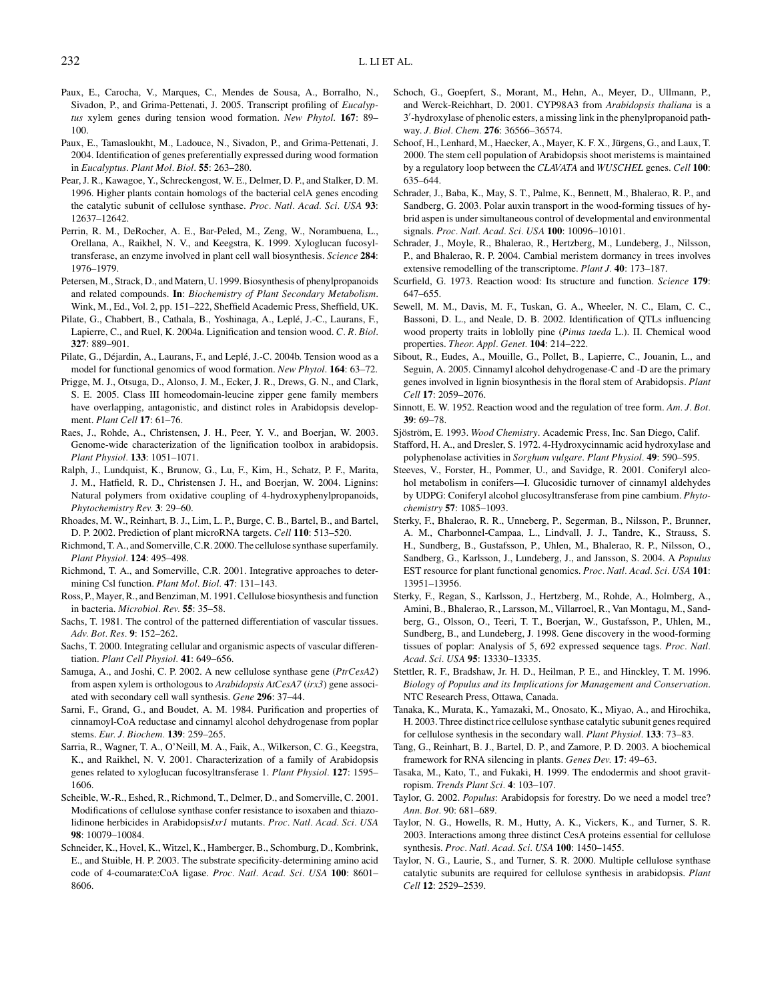- Paux, E., Carocha, V., Marques, C., Mendes de Sousa, A., Borralho, N., Sivadon, P., and Grima-Pettenati, J. 2005. Transcript profiling of *Eucalyptus* xylem genes during tension wood formation. *New Phytol*. **167**: 89– 100.
- Paux, E., Tamasloukht, M., Ladouce, N., Sivadon, P., and Grima-Pettenati, J. 2004. Identification of genes preferentially expressed during wood formation in *Eucalyptus*. *Plant Mol. Biol*. **55**: 263–280.
- Pear, J. R., Kawagoe, Y., Schreckengost, W. E., Delmer, D. P., and Stalker, D. M. 1996. Higher plants contain homologs of the bacterial celA genes encoding the catalytic subunit of cellulose synthase. *Proc. Natl. Acad. Sci. USA* **93**: 12637–12642.
- Perrin, R. M., DeRocher, A. E., Bar-Peled, M., Zeng, W., Norambuena, L., Orellana, A., Raikhel, N. V., and Keegstra, K. 1999. Xyloglucan fucosyltransferase, an enzyme involved in plant cell wall biosynthesis. *Science* **284**: 1976–1979.
- Petersen, M., Strack, D., and Matern, U. 1999. Biosynthesis of phenylpropanoids and related compounds. **In**: *Biochemistry of Plant Secondary Metabolism*. Wink, M., Ed., Vol. 2, pp. 151–222, Sheffield Academic Press, Sheffield, UK.
- Pilate, G., Chabbert, B., Cathala, B., Yoshinaga, A., Leplé, J.-C., Laurans, F., Lapierre, C., and Ruel, K. 2004a. Lignification and tension wood. *C. R. Biol*. **327**: 889–901.
- Pilate, G., Déjardin, A., Laurans, F., and Leplé, J.-C. 2004b. Tension wood as a model for functional genomics of wood formation. *New Phytol*. **164**: 63–72.
- Prigge, M. J., Otsuga, D., Alonso, J. M., Ecker, J. R., Drews, G. N., and Clark, S. E. 2005. Class III homeodomain-leucine zipper gene family members have overlapping, antagonistic, and distinct roles in Arabidopsis development. *Plant Cell* **17**: 61–76.
- Raes, J., Rohde, A., Christensen, J. H., Peer, Y. V., and Boerjan, W. 2003. Genome-wide characterization of the lignification toolbox in arabidopsis. *Plant Physiol.* **133**: 1051–1071.
- Ralph, J., Lundquist, K., Brunow, G., Lu, F., Kim, H., Schatz, P. F., Marita, J. M., Hatfield, R. D., Christensen J. H., and Boerjan, W. 2004. Lignins: Natural polymers from oxidative coupling of 4-hydroxyphenylpropanoids, *Phytochemistry Rev.* **3**: 29–60.
- Rhoades, M. W., Reinhart, B. J., Lim, L. P., Burge, C. B., Bartel, B., and Bartel, D. P. 2002. Prediction of plant microRNA targets. *Cell* **110**: 513–520.
- Richmond, T. A., and Somerville, C.R. 2000. The cellulose synthase superfamily. *Plant Physiol.* **124**: 495–498.
- Richmond, T. A., and Somerville, C.R. 2001. Integrative approaches to determining Csl function. *Plant Mol. Biol.* **47**: 131–143.
- Ross, P., Mayer, R., and Benziman, M. 1991. Cellulose biosynthesis and function in bacteria. *Microbiol. Rev.* **55**: 35–58.
- Sachs, T. 1981. The control of the patterned differentiation of vascular tissues. *Adv. Bot. Res.* **9**: 152–262.
- Sachs, T. 2000. Integrating cellular and organismic aspects of vascular differentiation. *Plant Cell Physiol.* **41**: 649–656.
- Samuga, A., and Joshi, C. P. 2002. A new cellulose synthase gene (*PtrCesA2*) from aspen xylem is orthologous to *Arabidopsis AtCesA7* (*irx3*) gene associated with secondary cell wall synthesis. *Gene* **296**: 37–44.
- Sarni, F., Grand, G., and Boudet, A. M. 1984. Purification and properties of cinnamoyl-CoA reductase and cinnamyl alcohol dehydrogenase from poplar stems. *Eur. J. Biochem.* **139**: 259–265.
- Sarria, R., Wagner, T. A., O'Neill, M. A., Faik, A., Wilkerson, C. G., Keegstra, K., and Raikhel, N. V. 2001. Characterization of a family of Arabidopsis genes related to xyloglucan fucosyltransferase 1. *Plant Physiol.* **127**: 1595– 1606.
- Scheible, W.-R., Eshed, R., Richmond, T., Delmer, D., and Somerville, C. 2001. Modifications of cellulose synthase confer resistance to isoxaben and thiazolidinone herbicides in Arabidopsis*Ixr1* mutants. *Proc. Natl. Acad. Sci. USA* **98**: 10079–10084.
- Schneider, K., Hovel, K., Witzel, K., Hamberger, B., Schomburg, D., Kombrink, E., and Stuible, H. P. 2003. The substrate specificity-determining amino acid code of 4-coumarate:CoA ligase. *Proc. Natl. Acad. Sci. USA* **100**: 8601– 8606.
- Schoch, G., Goepfert, S., Morant, M., Hehn, A., Meyer, D., Ullmann, P., and Werck-Reichhart, D. 2001. CYP98A3 from *Arabidopsis thaliana* is a 3 -hydroxylase of phenolic esters, a missing link in the phenylpropanoid pathway. *J. Biol. Chem.* **276**: 36566–36574.
- Schoof, H., Lenhard, M., Haecker, A., Mayer, K. F. X., Jürgens, G., and Laux, T. 2000. The stem cell population of Arabidopsis shoot meristems is maintained by a regulatory loop between the *CLAVATA* and *WUSCHEL* genes. *Cell* **100**: 635–644.
- Schrader, J., Baba, K., May, S. T., Palme, K., Bennett, M., Bhalerao, R. P., and Sandberg, G. 2003. Polar auxin transport in the wood-forming tissues of hybrid aspen is under simultaneous control of developmental and environmental signals. *Proc. Natl. Acad. Sci. USA* **100**: 10096–10101.
- Schrader, J., Moyle, R., Bhalerao, R., Hertzberg, M., Lundeberg, J., Nilsson, P., and Bhalerao, R. P. 2004. Cambial meristem dormancy in trees involves extensive remodelling of the transcriptome. *Plant J.* **40**: 173–187.
- Scurfield, G. 1973. Reaction wood: Its structure and function. *Science* **179**: 647–655.
- Sewell, M. M., Davis, M. F., Tuskan, G. A., Wheeler, N. C., Elam, C. C., Bassoni, D. L., and Neale, D. B. 2002. Identification of QTLs influencing wood property traits in loblolly pine (*Pinus taeda* L.). II. Chemical wood properties. *Theor. Appl. Genet.* **104**: 214–222.
- Sibout, R., Eudes, A., Mouille, G., Pollet, B., Lapierre, C., Jouanin, L., and Seguin, A. 2005. Cinnamyl alcohol dehydrogenase-C and -D are the primary genes involved in lignin biosynthesis in the floral stem of Arabidopsis. *Plant Cell* **17**: 2059–2076.
- Sinnott, E. W. 1952. Reaction wood and the regulation of tree form. *Am. J. Bot.* **39**: 69–78.
- Sjöström, E. 1993. *Wood Chemistry*. Academic Press, Inc. San Diego, Calif.
- Stafford, H. A., and Dresler, S. 1972. 4-Hydroxycinnamic acid hydroxylase and polyphenolase activities in *Sorghum vulgare*. *Plant Physiol.* **49**: 590–595.
- Steeves, V., Forster, H., Pommer, U., and Savidge, R. 2001. Coniferyl alcohol metabolism in conifers—I. Glucosidic turnover of cinnamyl aldehydes by UDPG: Coniferyl alcohol glucosyltransferase from pine cambium. *Phytochemistry* **57**: 1085–1093.
- Sterky, F., Bhalerao, R. R., Unneberg, P., Segerman, B., Nilsson, P., Brunner, A. M., Charbonnel-Campaa, L., Lindvall, J. J., Tandre, K., Strauss, S. H., Sundberg, B., Gustafsson, P., Uhlen, M., Bhalerao, R. P., Nilsson, O., Sandberg, G., Karlsson, J., Lundeberg, J., and Jansson, S. 2004. A *Populus* EST resource for plant functional genomics. *Proc. Natl. Acad. Sci. USA* **101**: 13951–13956.
- Sterky, F., Regan, S., Karlsson, J., Hertzberg, M., Rohde, A., Holmberg, A., Amini, B., Bhalerao, R., Larsson, M., Villarroel, R., Van Montagu, M., Sandberg, G., Olsson, O., Teeri, T. T., Boerjan, W., Gustafsson, P., Uhlen, M., Sundberg, B., and Lundeberg, J. 1998. Gene discovery in the wood-forming tissues of poplar: Analysis of 5, 692 expressed sequence tags. *Proc. Natl. Acad. Sci. USA* **95**: 13330–13335.
- Stettler, R. F., Bradshaw, Jr. H. D., Heilman, P. E., and Hinckley, T. M. 1996. *Biology of Populus and its Implications for Management and Conservation*. NTC Research Press, Ottawa, Canada.
- Tanaka, K., Murata, K., Yamazaki, M., Onosato, K., Miyao, A., and Hirochika, H. 2003. Three distinct rice cellulose synthase catalytic subunit genes required for cellulose synthesis in the secondary wall. *Plant Physiol.* **133**: 73–83.
- Tang, G., Reinhart, B. J., Bartel, D. P., and Zamore, P. D. 2003. A biochemical framework for RNA silencing in plants. *Genes Dev.* **17**: 49–63.
- Tasaka, M., Kato, T., and Fukaki, H. 1999. The endodermis and shoot gravitropism. *Trends Plant Sci.* **4**: 103–107.
- Taylor, G. 2002. *Populus*: Arabidopsis for forestry. Do we need a model tree? *Ann. Bot.* 90: 681–689.
- Taylor, N. G., Howells, R. M., Hutty, A. K., Vickers, K., and Turner, S. R. 2003. Interactions among three distinct CesA proteins essential for cellulose synthesis. *Proc. Natl. Acad. Sci. USA* **100**: 1450–1455.
- Taylor, N. G., Laurie, S., and Turner, S. R. 2000. Multiple cellulose synthase catalytic subunits are required for cellulose synthesis in arabidopsis. *Plant Cell* **12**: 2529–2539.